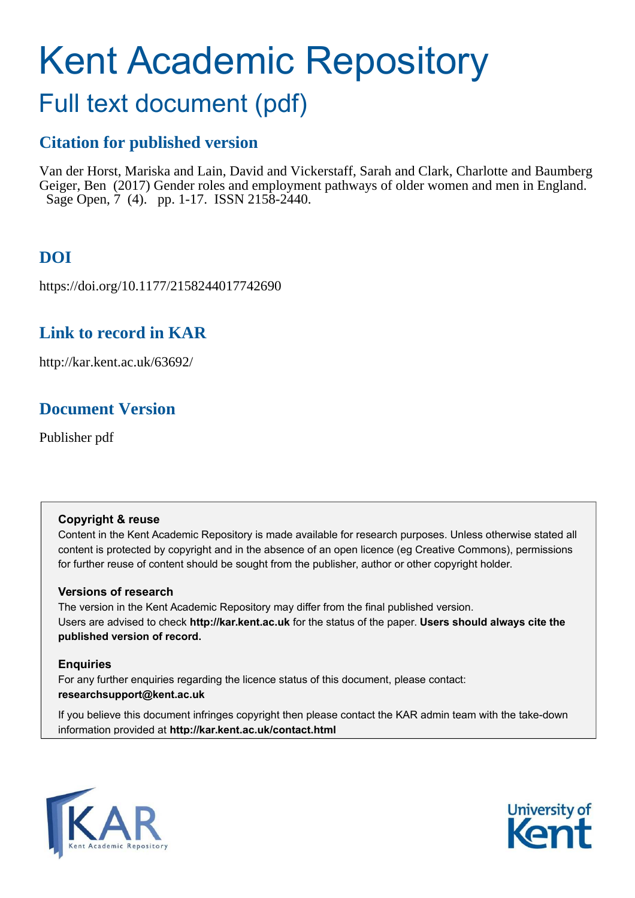# Kent Academic Repository

## Full text document (pdf)

### **Citation for published version**

Van der Horst, Mariska and Lain, David and Vickerstaff, Sarah and Clark, Charlotte and Baumberg Geiger, Ben (2017) Gender roles and employment pathways of older women and men in England. Sage Open, 7 (4). pp. 1-17. ISSN 2158-2440.

## **DOI**

https://doi.org/10.1177/2158244017742690

## **Link to record in KAR**

http://kar.kent.ac.uk/63692/

## **Document Version**

Publisher pdf

#### **Copyright & reuse**

Content in the Kent Academic Repository is made available for research purposes. Unless otherwise stated all content is protected by copyright and in the absence of an open licence (eg Creative Commons), permissions for further reuse of content should be sought from the publisher, author or other copyright holder.

#### **Versions of research**

The version in the Kent Academic Repository may differ from the final published version. Users are advised to check **http://kar.kent.ac.uk** for the status of the paper. **Users should always cite the published version of record.**

#### **Enquiries**

For any further enquiries regarding the licence status of this document, please contact: **researchsupport@kent.ac.uk**

If you believe this document infringes copyright then please contact the KAR admin team with the take-down information provided at **http://kar.kent.ac.uk/contact.html**



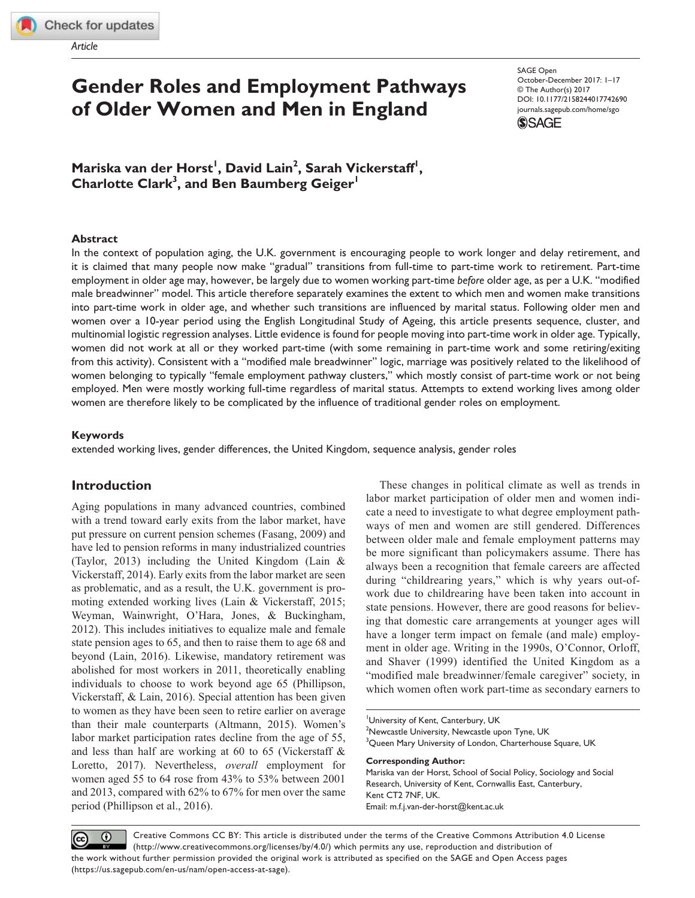*Article*

**[742690](http://crossmark.crossref.org/dialog/?doi=10.1177%2F2158244017742690&domain=pdf&date_stamp=2017-12-06)**SGOXXX10.1177/2158244017742690SAGE Open**Van der Horst et al.**

*research-article*20172017

## **Gender Roles and Employment Pathways of Older Women and Men in England**

DOI: 10.1177/2158244017742690 SAGE Open October-December 2017: 1-17 © The Author(s) 2017 [journals.sagepub.com/home/sgo](https://journals.sagepub.com/home/sgo)



**Mariska van der Horst<sup>1</sup> , David Lain<sup>2</sup> , Sarah Vickerstaff<sup>1</sup> , Charlotte Clark<sup>3</sup> , and Ben Baumberg Geiger<sup>1</sup>**

#### **Abstract**

In the context of population aging, the U.K. government is encouraging people to work longer and delay retirement, and it is claimed that many people now make "gradual" transitions from full-time to part-time work to retirement. Part-time employment in older age may, however, be largely due to women working part-time *before* older age, as per a U.K. "modified male breadwinner" model. This article therefore separately examines the extent to which men and women make transitions into part-time work in older age, and whether such transitions are influenced by marital status. Following older men and women over a 10-year period using the English Longitudinal Study of Ageing, this article presents sequence, cluster, and multinomial logistic regression analyses. Little evidence is found for people moving into part-time work in older age. Typically, women did not work at all or they worked part-time (with some remaining in part-time work and some retiring/exiting from this activity). Consistent with a "modified male breadwinner" logic, marriage was positively related to the likelihood of women belonging to typically "female employment pathway clusters," which mostly consist of part-time work or not being employed. Men were mostly working full-time regardless of marital status. Attempts to extend working lives among older women are therefore likely to be complicated by the influence of traditional gender roles on employment.

#### **Keywords**

extended working lives, gender differences, the United Kingdom, sequence analysis, gender roles

#### **Introduction**

Aging populations in many advanced countries, combined with a trend toward early exits from the labor market, have put pressure on current pension schemes (Fasang, 2009) and have led to pension reforms in many industrialized countries (Taylor, 2013) including the United Kingdom (Lain & Vickerstaff, 2014). Early exits from the labor market are seen as problematic, and as a result, the U.K. government is promoting extended working lives (Lain & Vickerstaff, 2015; Weyman, Wainwright, O'Hara, Jones, & Buckingham, 2012). This includes initiatives to equalize male and female state pension ages to 65, and then to raise them to age 68 and beyond (Lain, 2016). Likewise, mandatory retirement was abolished for most workers in 2011, theoretically enabling individuals to choose to work beyond age 65 (Phillipson, Vickerstaff, & Lain, 2016). Special attention has been given to women as they have been seen to retire earlier on average than their male counterparts (Altmann, 2015). Women's labor market participation rates decline from the age of 55, and less than half are working at 60 to 65 (Vickerstaff & Loretto, 2017). Nevertheless, *overall* employment for women aged 55 to 64 rose from 43% to 53% between 2001 and 2013, compared with 62% to 67% for men over the same period (Phillipson et al., 2016).

These changes in political climate as well as trends in labor market participation of older men and women indicate a need to investigate to what degree employment pathways of men and women are still gendered. Differences between older male and female employment patterns may be more significant than policymakers assume. There has always been a recognition that female careers are affected during "childrearing years," which is why years out-ofwork due to childrearing have been taken into account in state pensions. However, there are good reasons for believing that domestic care arrangements at younger ages will have a longer term impact on female (and male) employment in older age. Writing in the 1990s, O'Connor, Orloff, and Shaver (1999) identified the United Kingdom as a "modified male breadwinner/female caregiver" society, in which women often work part-time as secondary earners to

<sup>1</sup>University of Kent, Canterbury, UK <sup>2</sup>Newcastle University, Newcastle upon Tyne, UK <sup>3</sup>Queen Mary University of London, Charterhouse Square, UK

#### **Corresponding Author:**

Mariska van der Horst, School of Social Policy, Sociology and Social Research, University of Kent, Cornwallis East, Canterbury, Kent CT2 7NF, UK. Email: [m.f.j.van-der-horst@kent.ac.uk](mailto:m.f.j.van-der-horst@kent.ac.uk)

Creative Commons CC BY: This article is distributed under the terms of the Creative Commons Attribution 4.0 License  $\odot$ (cc) (http://www.creativecommons.org/licenses/by/4.0/) which permits any use, reproduction and distribution of the work without further permission provided the original work is attributed as specified on the SAGE and Open Access pages (https://us.sagepub.com/en-us/nam/open-access-at-sage).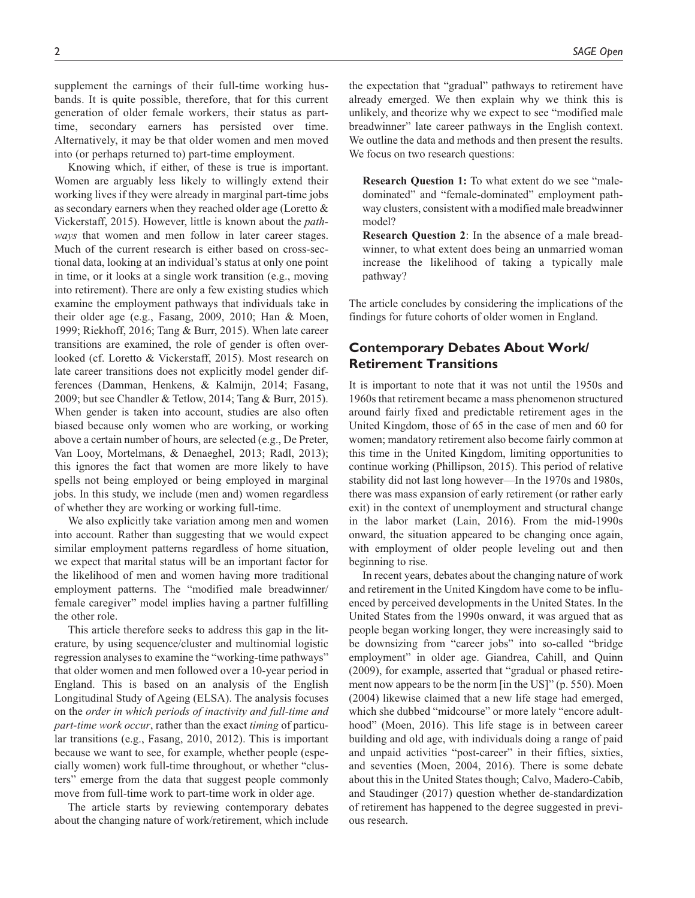supplement the earnings of their full-time working husbands. It is quite possible, therefore, that for this current generation of older female workers, their status as parttime, secondary earners has persisted over time. Alternatively, it may be that older women and men moved into (or perhaps returned to) part-time employment.

Knowing which, if either, of these is true is important. Women are arguably less likely to willingly extend their working lives if they were already in marginal part-time jobs as secondary earners when they reached older age (Loretto & Vickerstaff, 2015). However, little is known about the *pathways* that women and men follow in later career stages. Much of the current research is either based on cross-sectional data, looking at an individual's status at only one point in time, or it looks at a single work transition (e.g., moving into retirement). There are only a few existing studies which examine the employment pathways that individuals take in their older age (e.g., Fasang, 2009, 2010; Han & Moen, 1999; Riekhoff, 2016; Tang & Burr, 2015). When late career transitions are examined, the role of gender is often overlooked (cf. Loretto & Vickerstaff, 2015). Most research on late career transitions does not explicitly model gender differences (Damman, Henkens, & Kalmijn, 2014; Fasang, 2009; but see Chandler & Tetlow, 2014; Tang & Burr, 2015). When gender is taken into account, studies are also often biased because only women who are working, or working above a certain number of hours, are selected (e.g., De Preter, Van Looy, Mortelmans, & Denaeghel, 2013; Radl, 2013); this ignores the fact that women are more likely to have spells not being employed or being employed in marginal jobs. In this study, we include (men and) women regardless of whether they are working or working full-time.

We also explicitly take variation among men and women into account. Rather than suggesting that we would expect similar employment patterns regardless of home situation, we expect that marital status will be an important factor for the likelihood of men and women having more traditional employment patterns. The "modified male breadwinner/ female caregiver" model implies having a partner fulfilling the other role.

This article therefore seeks to address this gap in the literature, by using sequence/cluster and multinomial logistic regression analyses to examine the "working-time pathways" that older women and men followed over a 10-year period in England. This is based on an analysis of the English Longitudinal Study of Ageing (ELSA). The analysis focuses on the *order in which periods of inactivity and full-time and part-time work occur*, rather than the exact *timing* of particular transitions (e.g., Fasang, 2010, 2012). This is important because we want to see, for example, whether people (especially women) work full-time throughout, or whether "clusters" emerge from the data that suggest people commonly move from full-time work to part-time work in older age.

The article starts by reviewing contemporary debates about the changing nature of work/retirement, which include

the expectation that "gradual" pathways to retirement have already emerged. We then explain why we think this is unlikely, and theorize why we expect to see "modified male breadwinner" late career pathways in the English context. We outline the data and methods and then present the results. We focus on two research questions:

**Research Question 1:** To what extent do we see "maledominated" and "female-dominated" employment pathway clusters, consistent with a modified male breadwinner model?

**Research Question 2**: In the absence of a male breadwinner, to what extent does being an unmarried woman increase the likelihood of taking a typically male pathway?

The article concludes by considering the implications of the findings for future cohorts of older women in England.

#### **Contemporary Debates About Work/ Retirement Transitions**

It is important to note that it was not until the 1950s and 1960s that retirement became a mass phenomenon structured around fairly fixed and predictable retirement ages in the United Kingdom, those of 65 in the case of men and 60 for women; mandatory retirement also become fairly common at this time in the United Kingdom, limiting opportunities to continue working (Phillipson, 2015). This period of relative stability did not last long however—In the 1970s and 1980s, there was mass expansion of early retirement (or rather early exit) in the context of unemployment and structural change in the labor market (Lain, 2016). From the mid-1990s onward, the situation appeared to be changing once again, with employment of older people leveling out and then beginning to rise.

In recent years, debates about the changing nature of work and retirement in the United Kingdom have come to be influenced by perceived developments in the United States. In the United States from the 1990s onward, it was argued that as people began working longer, they were increasingly said to be downsizing from "career jobs" into so-called "bridge employment" in older age. Giandrea, Cahill, and Quinn (2009), for example, asserted that "gradual or phased retirement now appears to be the norm [in the US]" (p. 550). Moen (2004) likewise claimed that a new life stage had emerged, which she dubbed "midcourse" or more lately "encore adulthood" (Moen, 2016). This life stage is in between career building and old age, with individuals doing a range of paid and unpaid activities "post-career" in their fifties, sixties, and seventies (Moen, 2004, 2016). There is some debate about this in the United States though; Calvo, Madero-Cabib, and Staudinger (2017) question whether de-standardization of retirement has happened to the degree suggested in previous research.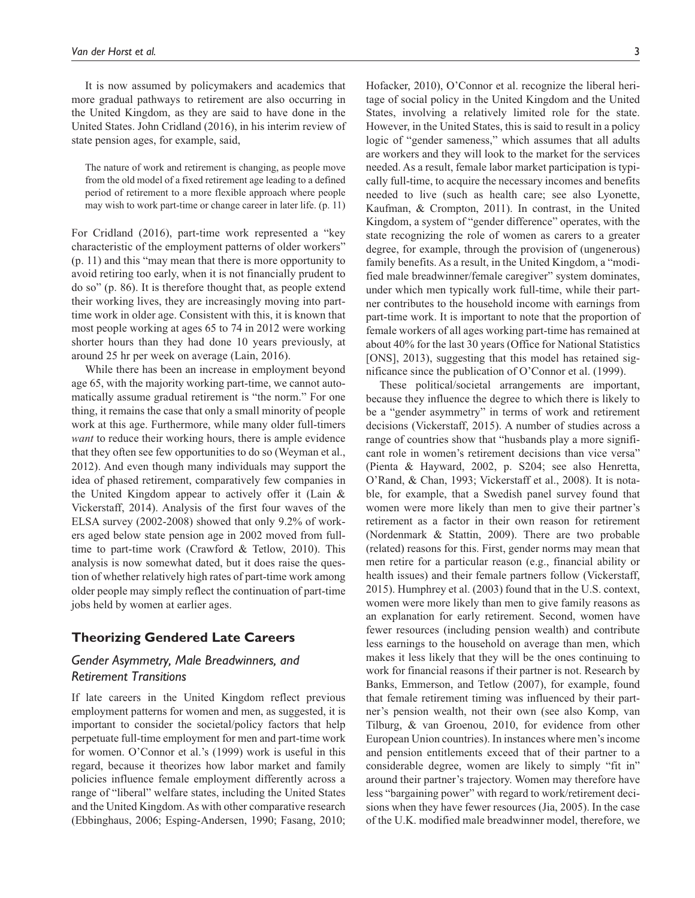It is now assumed by policymakers and academics that more gradual pathways to retirement are also occurring in the United Kingdom, as they are said to have done in the United States. John Cridland (2016), in his interim review of state pension ages, for example, said,

The nature of work and retirement is changing, as people move from the old model of a fixed retirement age leading to a defined period of retirement to a more flexible approach where people may wish to work part-time or change career in later life. (p. 11)

For Cridland (2016), part-time work represented a "key characteristic of the employment patterns of older workers" (p. 11) and this "may mean that there is more opportunity to avoid retiring too early, when it is not financially prudent to do so" (p. 86). It is therefore thought that, as people extend their working lives, they are increasingly moving into parttime work in older age. Consistent with this, it is known that most people working at ages 65 to 74 in 2012 were working shorter hours than they had done 10 years previously, at around 25 hr per week on average (Lain, 2016).

While there has been an increase in employment beyond age 65, with the majority working part-time, we cannot automatically assume gradual retirement is "the norm." For one thing, it remains the case that only a small minority of people work at this age. Furthermore, while many older full-timers *want* to reduce their working hours, there is ample evidence that they often see few opportunities to do so (Weyman et al., 2012). And even though many individuals may support the idea of phased retirement, comparatively few companies in the United Kingdom appear to actively offer it (Lain & Vickerstaff, 2014). Analysis of the first four waves of the ELSA survey (2002-2008) showed that only 9.2% of workers aged below state pension age in 2002 moved from fulltime to part-time work (Crawford & Tetlow, 2010). This analysis is now somewhat dated, but it does raise the question of whether relatively high rates of part-time work among older people may simply reflect the continuation of part-time jobs held by women at earlier ages.

#### **Theorizing Gendered Late Careers**

#### *Gender Asymmetry, Male Breadwinners, and Retirement Transitions*

If late careers in the United Kingdom reflect previous employment patterns for women and men, as suggested, it is important to consider the societal/policy factors that help perpetuate full-time employment for men and part-time work for women. O'Connor et al.'s (1999) work is useful in this regard, because it theorizes how labor market and family policies influence female employment differently across a range of "liberal" welfare states, including the United States and the United Kingdom. As with other comparative research (Ebbinghaus, 2006; Esping-Andersen, 1990; Fasang, 2010;

Hofacker, 2010), O'Connor et al. recognize the liberal heritage of social policy in the United Kingdom and the United States, involving a relatively limited role for the state. However, in the United States, this is said to result in a policy logic of "gender sameness," which assumes that all adults are workers and they will look to the market for the services needed. As a result, female labor market participation is typically full-time, to acquire the necessary incomes and benefits needed to live (such as health care; see also Lyonette, Kaufman, & Crompton, 2011). In contrast, in the United Kingdom, a system of "gender difference" operates, with the state recognizing the role of women as carers to a greater degree, for example, through the provision of (ungenerous) family benefits. As a result, in the United Kingdom, a "modified male breadwinner/female caregiver" system dominates, under which men typically work full-time, while their partner contributes to the household income with earnings from part-time work. It is important to note that the proportion of female workers of all ages working part-time has remained at about 40% for the last 30 years (Office for National Statistics [ONS], 2013), suggesting that this model has retained significance since the publication of O'Connor et al. (1999).

These political/societal arrangements are important, because they influence the degree to which there is likely to be a "gender asymmetry" in terms of work and retirement decisions (Vickerstaff, 2015). A number of studies across a range of countries show that "husbands play a more significant role in women's retirement decisions than vice versa" (Pienta & Hayward, 2002, p. S204; see also Henretta, O'Rand, & Chan, 1993; Vickerstaff et al., 2008). It is notable, for example, that a Swedish panel survey found that women were more likely than men to give their partner's retirement as a factor in their own reason for retirement (Nordenmark & Stattin, 2009). There are two probable (related) reasons for this. First, gender norms may mean that men retire for a particular reason (e.g., financial ability or health issues) and their female partners follow (Vickerstaff, 2015). Humphrey et al. (2003) found that in the U.S. context, women were more likely than men to give family reasons as an explanation for early retirement. Second, women have fewer resources (including pension wealth) and contribute less earnings to the household on average than men, which makes it less likely that they will be the ones continuing to work for financial reasons if their partner is not. Research by Banks, Emmerson, and Tetlow (2007), for example, found that female retirement timing was influenced by their partner's pension wealth, not their own (see also Komp, van Tilburg, & van Groenou, 2010, for evidence from other European Union countries). In instances where men's income and pension entitlements exceed that of their partner to a considerable degree, women are likely to simply "fit in" around their partner's trajectory. Women may therefore have less "bargaining power" with regard to work/retirement decisions when they have fewer resources (Jia, 2005). In the case of the U.K. modified male breadwinner model, therefore, we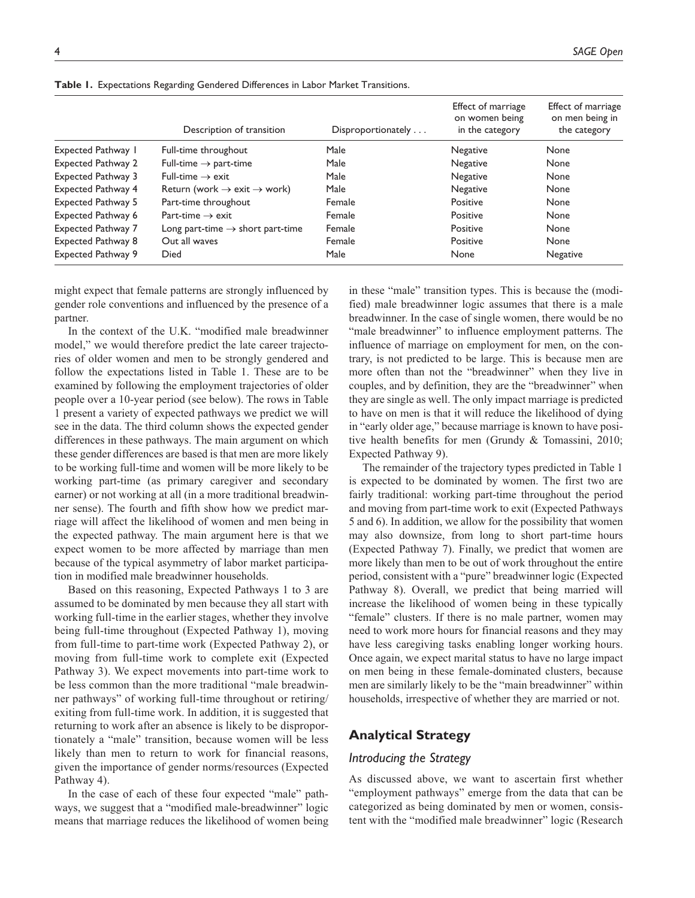|                           | Description of transition                           | Disproportionately | Effect of marriage<br>on women being<br>in the category | Effect of marriage<br>on men being in<br>the category |
|---------------------------|-----------------------------------------------------|--------------------|---------------------------------------------------------|-------------------------------------------------------|
| Expected Pathway I        | Full-time throughout                                | Male               | Negative                                                | None                                                  |
| <b>Expected Pathway 2</b> | Full-time $\rightarrow$ part-time                   | Male               | Negative                                                | None                                                  |
| Expected Pathway 3        | Full-time $\rightarrow$ exit                        | Male               | Negative                                                | None                                                  |
| <b>Expected Pathway 4</b> | Return (work $\rightarrow$ exit $\rightarrow$ work) | Male               | Negative                                                | None                                                  |
| <b>Expected Pathway 5</b> | Part-time throughout                                | Female             | Positive                                                | None                                                  |
| Expected Pathway 6        | Part-time $\rightarrow$ exit                        | Female             | Positive                                                | None                                                  |
| <b>Expected Pathway 7</b> | Long part-time $\rightarrow$ short part-time        | Female             | Positive                                                | None                                                  |
| <b>Expected Pathway 8</b> | Out all waves                                       | Female             | Positive                                                | None                                                  |
| <b>Expected Pathway 9</b> | Died                                                | Male               | None                                                    | Negative                                              |

**Table 1.** Expectations Regarding Gendered Differences in Labor Market Transitions.

might expect that female patterns are strongly influenced by gender role conventions and influenced by the presence of a partner.

In the context of the U.K. "modified male breadwinner model," we would therefore predict the late career trajectories of older women and men to be strongly gendered and follow the expectations listed in Table 1. These are to be examined by following the employment trajectories of older people over a 10-year period (see below). The rows in Table 1 present a variety of expected pathways we predict we will see in the data. The third column shows the expected gender differences in these pathways. The main argument on which these gender differences are based is that men are more likely to be working full-time and women will be more likely to be working part-time (as primary caregiver and secondary earner) or not working at all (in a more traditional breadwinner sense). The fourth and fifth show how we predict marriage will affect the likelihood of women and men being in the expected pathway. The main argument here is that we expect women to be more affected by marriage than men because of the typical asymmetry of labor market participation in modified male breadwinner households.

Based on this reasoning, Expected Pathways 1 to 3 are assumed to be dominated by men because they all start with working full-time in the earlier stages, whether they involve being full-time throughout (Expected Pathway 1), moving from full-time to part-time work (Expected Pathway 2), or moving from full-time work to complete exit (Expected Pathway 3). We expect movements into part-time work to be less common than the more traditional "male breadwinner pathways" of working full-time throughout or retiring/ exiting from full-time work. In addition, it is suggested that returning to work after an absence is likely to be disproportionately a "male" transition, because women will be less likely than men to return to work for financial reasons, given the importance of gender norms/resources (Expected Pathway 4).

In the case of each of these four expected "male" pathways, we suggest that a "modified male-breadwinner" logic means that marriage reduces the likelihood of women being

in these "male" transition types. This is because the (modified) male breadwinner logic assumes that there is a male breadwinner. In the case of single women, there would be no "male breadwinner" to influence employment patterns. The influence of marriage on employment for men, on the contrary, is not predicted to be large. This is because men are more often than not the "breadwinner" when they live in couples, and by definition, they are the "breadwinner" when they are single as well. The only impact marriage is predicted to have on men is that it will reduce the likelihood of dying in "early older age," because marriage is known to have positive health benefits for men (Grundy & Tomassini, 2010; Expected Pathway 9).

The remainder of the trajectory types predicted in Table 1 is expected to be dominated by women. The first two are fairly traditional: working part-time throughout the period and moving from part-time work to exit (Expected Pathways 5 and 6). In addition, we allow for the possibility that women may also downsize, from long to short part-time hours (Expected Pathway 7). Finally, we predict that women are more likely than men to be out of work throughout the entire period, consistent with a "pure" breadwinner logic (Expected Pathway 8). Overall, we predict that being married will increase the likelihood of women being in these typically "female" clusters. If there is no male partner, women may need to work more hours for financial reasons and they may have less caregiving tasks enabling longer working hours. Once again, we expect marital status to have no large impact on men being in these female-dominated clusters, because men are similarly likely to be the "main breadwinner" within households, irrespective of whether they are married or not.

#### **Analytical Strategy**

#### *Introducing the Strategy*

As discussed above, we want to ascertain first whether "employment pathways" emerge from the data that can be categorized as being dominated by men or women, consistent with the "modified male breadwinner" logic (Research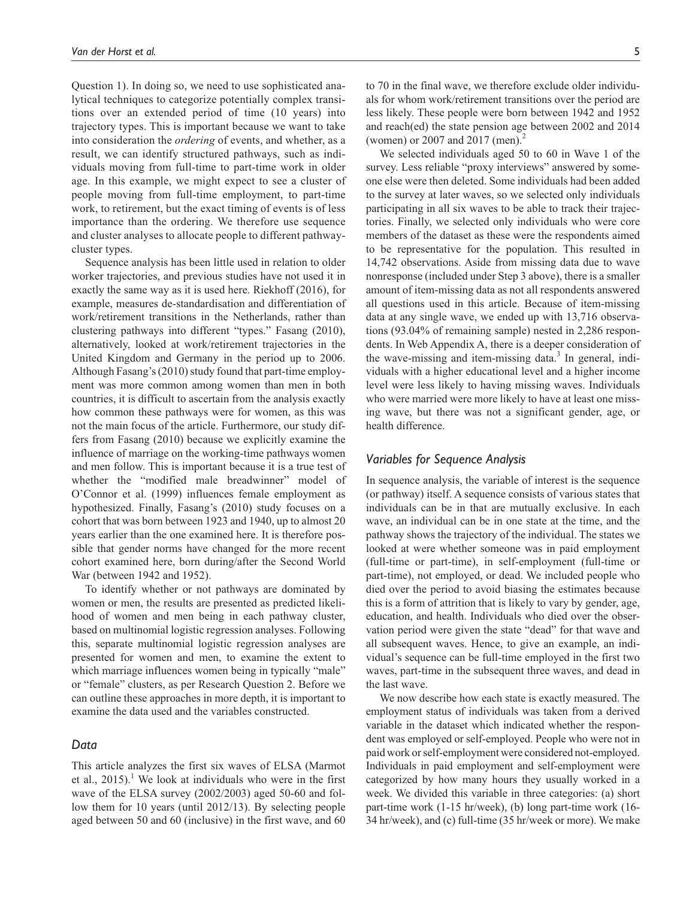Question 1). In doing so, we need to use sophisticated analytical techniques to categorize potentially complex transitions over an extended period of time (10 years) into trajectory types. This is important because we want to take into consideration the *ordering* of events, and whether, as a result, we can identify structured pathways, such as individuals moving from full-time to part-time work in older age. In this example, we might expect to see a cluster of people moving from full-time employment, to part-time work, to retirement, but the exact timing of events is of less importance than the ordering. We therefore use sequence and cluster analyses to allocate people to different pathwaycluster types.

Sequence analysis has been little used in relation to older worker trajectories, and previous studies have not used it in exactly the same way as it is used here. Riekhoff (2016), for example, measures de-standardisation and differentiation of work/retirement transitions in the Netherlands, rather than clustering pathways into different "types." Fasang (2010), alternatively, looked at work/retirement trajectories in the United Kingdom and Germany in the period up to 2006. Although Fasang's (2010) study found that part-time employment was more common among women than men in both countries, it is difficult to ascertain from the analysis exactly how common these pathways were for women, as this was not the main focus of the article. Furthermore, our study differs from Fasang (2010) because we explicitly examine the influence of marriage on the working-time pathways women and men follow. This is important because it is a true test of whether the "modified male breadwinner" model of O'Connor et al. (1999) influences female employment as hypothesized. Finally, Fasang's (2010) study focuses on a cohort that was born between 1923 and 1940, up to almost 20 years earlier than the one examined here. It is therefore possible that gender norms have changed for the more recent cohort examined here, born during/after the Second World War (between 1942 and 1952).

To identify whether or not pathways are dominated by women or men, the results are presented as predicted likelihood of women and men being in each pathway cluster, based on multinomial logistic regression analyses. Following this, separate multinomial logistic regression analyses are presented for women and men, to examine the extent to which marriage influences women being in typically "male" or "female" clusters, as per Research Question 2. Before we can outline these approaches in more depth, it is important to examine the data used and the variables constructed.

#### *Data*

This article analyzes the first six waves of ELSA (Marmot et al.,  $2015$ ).<sup>1</sup> We look at individuals who were in the first wave of the ELSA survey (2002/2003) aged 50-60 and follow them for 10 years (until 2012/13). By selecting people aged between 50 and 60 (inclusive) in the first wave, and 60

to 70 in the final wave, we therefore exclude older individuals for whom work/retirement transitions over the period are less likely. These people were born between 1942 and 1952 and reach(ed) the state pension age between 2002 and 2014 (women) or 2007 and 2017 (men).<sup>2</sup>

We selected individuals aged 50 to 60 in Wave 1 of the survey. Less reliable "proxy interviews" answered by someone else were then deleted. Some individuals had been added to the survey at later waves, so we selected only individuals participating in all six waves to be able to track their trajectories. Finally, we selected only individuals who were core members of the dataset as these were the respondents aimed to be representative for the population. This resulted in 14,742 observations. Aside from missing data due to wave nonresponse (included under Step 3 above), there is a smaller amount of item-missing data as not all respondents answered all questions used in this article. Because of item-missing data at any single wave, we ended up with 13,716 observations (93.04% of remaining sample) nested in 2,286 respondents. In Web Appendix A, there is a deeper consideration of the wave-missing and item-missing data.<sup>3</sup> In general, individuals with a higher educational level and a higher income level were less likely to having missing waves. Individuals who were married were more likely to have at least one missing wave, but there was not a significant gender, age, or health difference.

#### *Variables for Sequence Analysis*

In sequence analysis, the variable of interest is the sequence (or pathway) itself. A sequence consists of various states that individuals can be in that are mutually exclusive. In each wave, an individual can be in one state at the time, and the pathway shows the trajectory of the individual. The states we looked at were whether someone was in paid employment (full-time or part-time), in self-employment (full-time or part-time), not employed, or dead. We included people who died over the period to avoid biasing the estimates because this is a form of attrition that is likely to vary by gender, age, education, and health. Individuals who died over the observation period were given the state "dead" for that wave and all subsequent waves. Hence, to give an example, an individual's sequence can be full-time employed in the first two waves, part-time in the subsequent three waves, and dead in the last wave.

We now describe how each state is exactly measured. The employment status of individuals was taken from a derived variable in the dataset which indicated whether the respondent was employed or self-employed. People who were not in paid work or self-employment were considered not-employed. Individuals in paid employment and self-employment were categorized by how many hours they usually worked in a week. We divided this variable in three categories: (a) short part-time work (1-15 hr/week), (b) long part-time work (16- 34 hr/week), and (c) full-time (35 hr/week or more). We make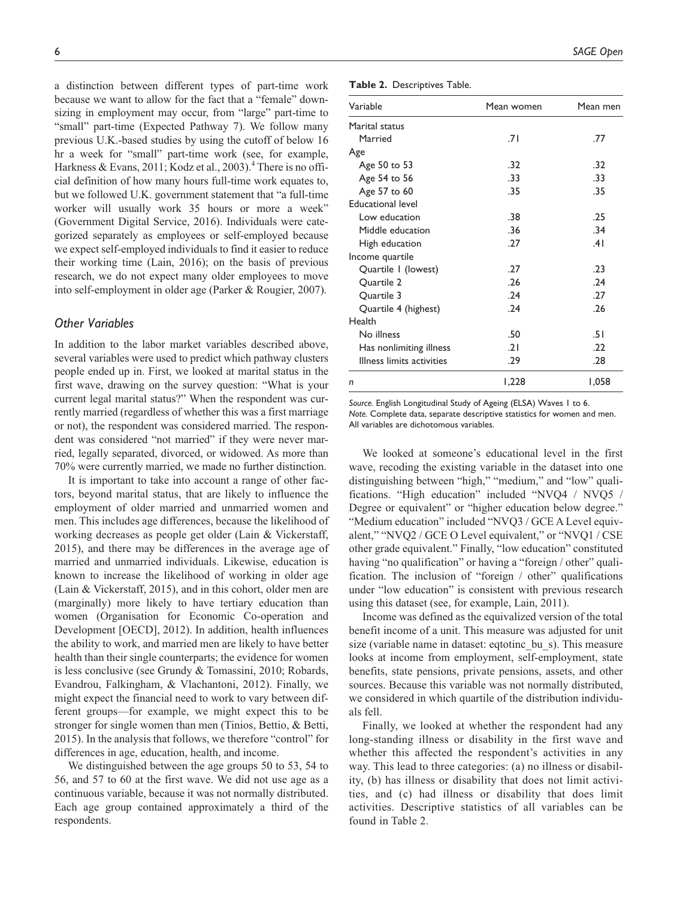a distinction between different types of part-time work because we want to allow for the fact that a "female" downsizing in employment may occur, from "large" part-time to "small" part-time (Expected Pathway 7). We follow many previous U.K.-based studies by using the cutoff of below 16 hr a week for "small" part-time work (see, for example, Harkness & Evans, 2011; Kodz et al., 2003).<sup>4</sup> There is no official definition of how many hours full-time work equates to, but we followed U.K. government statement that "a full-time worker will usually work 35 hours or more a week" (Government Digital Service, 2016). Individuals were categorized separately as employees or self-employed because we expect self-employed individuals to find it easier to reduce their working time (Lain, 2016); on the basis of previous research, we do not expect many older employees to move into self-employment in older age (Parker & Rougier, 2007).

#### *Other Variables*

In addition to the labor market variables described above, several variables were used to predict which pathway clusters people ended up in. First, we looked at marital status in the first wave, drawing on the survey question: "What is your current legal marital status?" When the respondent was currently married (regardless of whether this was a first marriage or not), the respondent was considered married. The respondent was considered "not married" if they were never married, legally separated, divorced, or widowed. As more than 70% were currently married, we made no further distinction.

It is important to take into account a range of other factors, beyond marital status, that are likely to influence the employment of older married and unmarried women and men. This includes age differences, because the likelihood of working decreases as people get older (Lain & Vickerstaff, 2015), and there may be differences in the average age of married and unmarried individuals. Likewise, education is known to increase the likelihood of working in older age (Lain & Vickerstaff, 2015), and in this cohort, older men are (marginally) more likely to have tertiary education than women (Organisation for Economic Co-operation and Development [OECD], 2012). In addition, health influences the ability to work, and married men are likely to have better health than their single counterparts; the evidence for women is less conclusive (see Grundy & Tomassini, 2010; Robards, Evandrou, Falkingham, & Vlachantoni, 2012). Finally, we might expect the financial need to work to vary between different groups—for example, we might expect this to be stronger for single women than men (Tinios, Bettio, & Betti, 2015). In the analysis that follows, we therefore "control" for differences in age, education, health, and income.

We distinguished between the age groups 50 to 53, 54 to 56, and 57 to 60 at the first wave. We did not use age as a continuous variable, because it was not normally distributed. Each age group contained approximately a third of the respondents.

|  | SAGE Open<br>$\sim$ $\sim$ $\sim$ $\sim$ $\sim$ $\sim$ |
|--|--------------------------------------------------------|
|  |                                                        |

**Table 2.** Descriptives Table.

| Variable                  | Mean women | Mean men |
|---------------------------|------------|----------|
| Marital status            |            |          |
| Married                   | .71        | .77      |
| Age                       |            |          |
| Age 50 to 53              | .32        | .32      |
| Age 54 to 56              | .33        | .33      |
| Age 57 to 60              | .35        | .35      |
| <b>Educational level</b>  |            |          |
| Low education             | .38        | .25      |
| Middle education          | .36        | .34      |
| High education            | .27        | .41      |
| Income quartile           |            |          |
| Quartile I (lowest)       | .27        | .23      |
| Quartile 2                | .26        | .24      |
| Quartile 3                | .24        | .27      |
| Quartile 4 (highest)      | .24        | .26      |
| Health                    |            |          |
| No illness                | .50        | .51      |
| Has nonlimiting illness   | .21        | .22      |
| Illness limits activities | .29        | .28      |
| n                         | 1,228      | 1,058    |

*Source.* English Longitudinal Study of Ageing (ELSA) Waves 1 to 6. *Note.* Complete data, separate descriptive statistics for women and men. All variables are dichotomous variables.

We looked at someone's educational level in the first wave, recoding the existing variable in the dataset into one distinguishing between "high," "medium," and "low" qualifications. "High education" included "NVQ4 / NVQ5 / Degree or equivalent" or "higher education below degree." "Medium education" included "NVQ3 / GCE A Level equivalent," "NVQ2 / GCE O Level equivalent," or "NVQ1 / CSE other grade equivalent." Finally, "low education" constituted having "no qualification" or having a "foreign / other" qualification. The inclusion of "foreign / other" qualifications under "low education" is consistent with previous research using this dataset (see, for example, Lain, 2011).

Income was defined as the equivalized version of the total benefit income of a unit. This measure was adjusted for unit size (variable name in dataset: eqtotinc bu s). This measure looks at income from employment, self-employment, state benefits, state pensions, private pensions, assets, and other sources. Because this variable was not normally distributed, we considered in which quartile of the distribution individuals fell.

Finally, we looked at whether the respondent had any long-standing illness or disability in the first wave and whether this affected the respondent's activities in any way. This lead to three categories: (a) no illness or disability, (b) has illness or disability that does not limit activities, and (c) had illness or disability that does limit activities. Descriptive statistics of all variables can be found in Table 2.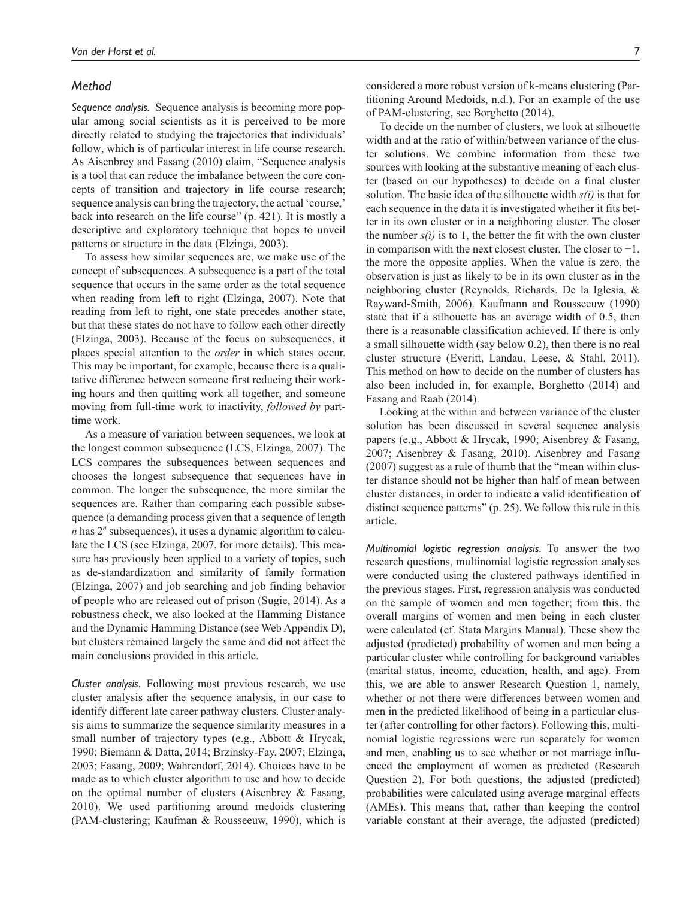#### *Method*

*Sequence analysis.* Sequence analysis is becoming more popular among social scientists as it is perceived to be more directly related to studying the trajectories that individuals' follow, which is of particular interest in life course research. As Aisenbrey and Fasang (2010) claim, "Sequence analysis is a tool that can reduce the imbalance between the core concepts of transition and trajectory in life course research; sequence analysis can bring the trajectory, the actual 'course,' back into research on the life course" (p. 421). It is mostly a descriptive and exploratory technique that hopes to unveil patterns or structure in the data (Elzinga, 2003).

To assess how similar sequences are, we make use of the concept of subsequences. A subsequence is a part of the total sequence that occurs in the same order as the total sequence when reading from left to right (Elzinga, 2007). Note that reading from left to right, one state precedes another state, but that these states do not have to follow each other directly (Elzinga, 2003). Because of the focus on subsequences, it places special attention to the *order* in which states occur. This may be important, for example, because there is a qualitative difference between someone first reducing their working hours and then quitting work all together, and someone moving from full-time work to inactivity, *followed by* parttime work.

As a measure of variation between sequences, we look at the longest common subsequence (LCS, Elzinga, 2007). The LCS compares the subsequences between sequences and chooses the longest subsequence that sequences have in common. The longer the subsequence, the more similar the sequences are. Rather than comparing each possible subsequence (a demanding process given that a sequence of length  $n$  has  $2^n$  subsequences), it uses a dynamic algorithm to calculate the LCS (see Elzinga, 2007, for more details). This measure has previously been applied to a variety of topics, such as de-standardization and similarity of family formation (Elzinga, 2007) and job searching and job finding behavior of people who are released out of prison (Sugie, 2014). As a robustness check, we also looked at the Hamming Distance and the Dynamic Hamming Distance (see Web Appendix D), but clusters remained largely the same and did not affect the main conclusions provided in this article.

*Cluster analysis.* Following most previous research, we use cluster analysis after the sequence analysis, in our case to identify different late career pathway clusters. Cluster analysis aims to summarize the sequence similarity measures in a small number of trajectory types (e.g., Abbott & Hrycak, 1990; Biemann & Datta, 2014; Brzinsky-Fay, 2007; Elzinga, 2003; Fasang, 2009; Wahrendorf, 2014). Choices have to be made as to which cluster algorithm to use and how to decide on the optimal number of clusters (Aisenbrey & Fasang, 2010). We used partitioning around medoids clustering (PAM-clustering; Kaufman & Rousseeuw, 1990), which is

considered a more robust version of k-means clustering (Partitioning Around Medoids, n.d.). For an example of the use of PAM-clustering, see Borghetto (2014).

To decide on the number of clusters, we look at silhouette width and at the ratio of within/between variance of the cluster solutions. We combine information from these two sources with looking at the substantive meaning of each cluster (based on our hypotheses) to decide on a final cluster solution. The basic idea of the silhouette width *s(i)* is that for each sequence in the data it is investigated whether it fits better in its own cluster or in a neighboring cluster. The closer the number  $s(i)$  is to 1, the better the fit with the own cluster in comparison with the next closest cluster. The closer to  $-1$ , the more the opposite applies. When the value is zero, the observation is just as likely to be in its own cluster as in the neighboring cluster (Reynolds, Richards, De la Iglesia, & Rayward-Smith, 2006). Kaufmann and Rousseeuw (1990) state that if a silhouette has an average width of 0.5, then there is a reasonable classification achieved. If there is only a small silhouette width (say below 0.2), then there is no real cluster structure (Everitt, Landau, Leese, & Stahl, 2011). This method on how to decide on the number of clusters has also been included in, for example, Borghetto (2014) and Fasang and Raab (2014).

Looking at the within and between variance of the cluster solution has been discussed in several sequence analysis papers (e.g., Abbott & Hrycak, 1990; Aisenbrey & Fasang, 2007; Aisenbrey & Fasang, 2010). Aisenbrey and Fasang (2007) suggest as a rule of thumb that the "mean within cluster distance should not be higher than half of mean between cluster distances, in order to indicate a valid identification of distinct sequence patterns" (p. 25). We follow this rule in this article.

*Multinomial logistic regression analysis.* To answer the two research questions, multinomial logistic regression analyses were conducted using the clustered pathways identified in the previous stages. First, regression analysis was conducted on the sample of women and men together; from this, the overall margins of women and men being in each cluster were calculated (cf. Stata Margins Manual). These show the adjusted (predicted) probability of women and men being a particular cluster while controlling for background variables (marital status, income, education, health, and age). From this, we are able to answer Research Question 1, namely, whether or not there were differences between women and men in the predicted likelihood of being in a particular cluster (after controlling for other factors). Following this, multinomial logistic regressions were run separately for women and men, enabling us to see whether or not marriage influenced the employment of women as predicted (Research Question 2). For both questions, the adjusted (predicted) probabilities were calculated using average marginal effects (AMEs). This means that, rather than keeping the control variable constant at their average, the adjusted (predicted)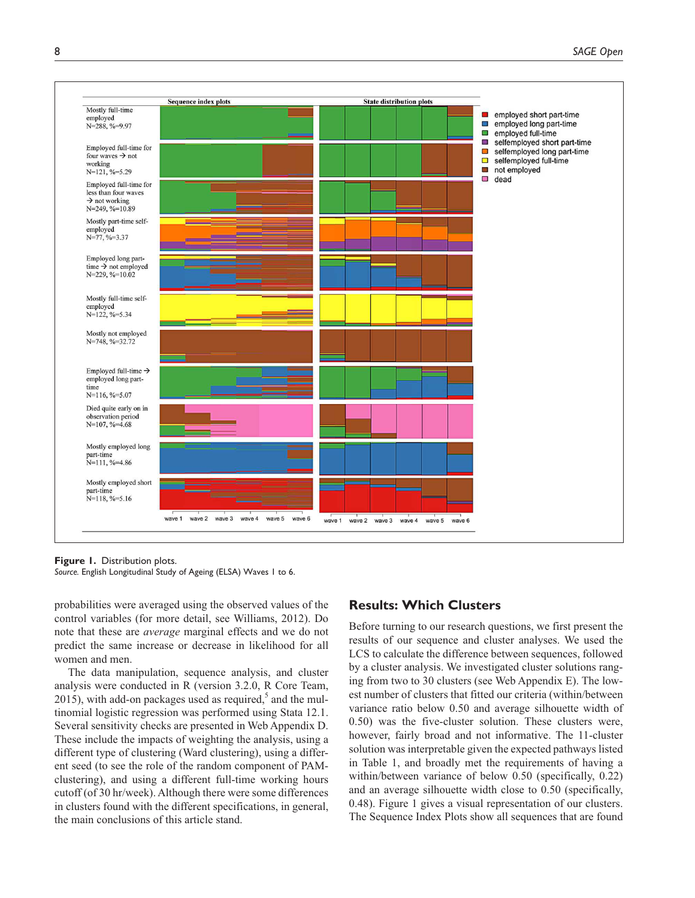

**Figure 1.** Distribution plots.

*Source.* English Longitudinal Study of Ageing (ELSA) Waves 1 to 6.

probabilities were averaged using the observed values of the control variables (for more detail, see Williams, 2012). Do note that these are *average* marginal effects and we do not predict the same increase or decrease in likelihood for all women and men.

The data manipulation, sequence analysis, and cluster analysis were conducted in R (version 3.2.0, R Core Team, 2015), with add-on packages used as required, $5$  and the multinomial logistic regression was performed using Stata 12.1. Several sensitivity checks are presented in Web Appendix D. These include the impacts of weighting the analysis, using a different type of clustering (Ward clustering), using a different seed (to see the role of the random component of PAMclustering), and using a different full-time working hours cutoff (of 30 hr/week). Although there were some differences in clusters found with the different specifications, in general, the main conclusions of this article stand.

#### **Results: Which Clusters**

Before turning to our research questions, we first present the results of our sequence and cluster analyses. We used the LCS to calculate the difference between sequences, followed by a cluster analysis. We investigated cluster solutions ranging from two to 30 clusters (see Web Appendix E). The lowest number of clusters that fitted our criteria (within/between variance ratio below 0.50 and average silhouette width of 0.50) was the five-cluster solution. These clusters were, however, fairly broad and not informative. The 11-cluster solution was interpretable given the expected pathways listed in Table 1, and broadly met the requirements of having a within/between variance of below 0.50 (specifically, 0.22) and an average silhouette width close to 0.50 (specifically, 0.48). Figure 1 gives a visual representation of our clusters. The Sequence Index Plots show all sequences that are found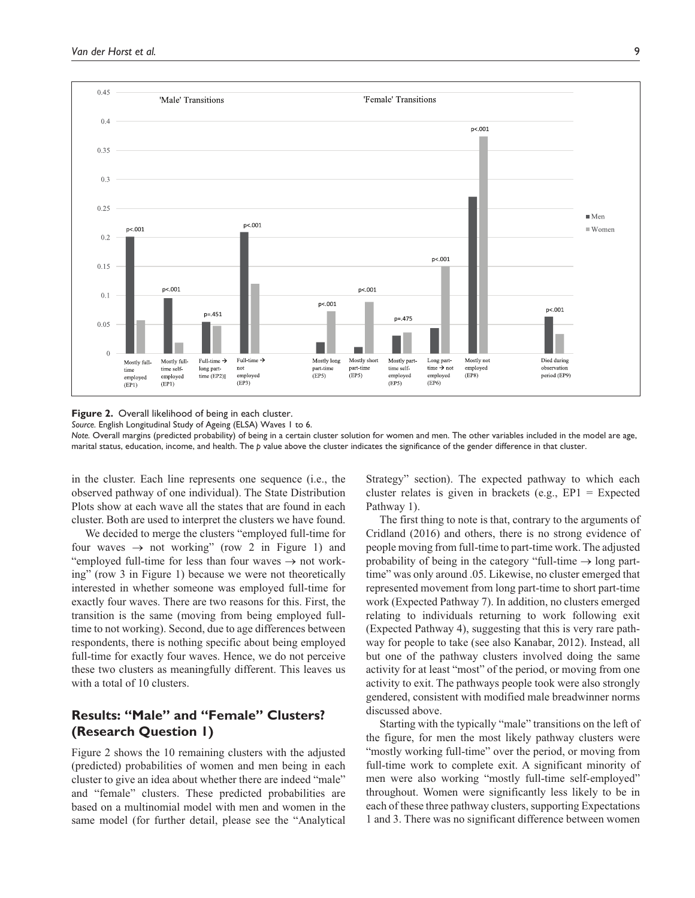

**Figure 2.** Overall likelihood of being in each cluster. *Source.* English Longitudinal Study of Ageing (ELSA) Waves 1 to 6.

*Note.* Overall margins (predicted probability) of being in a certain cluster solution for women and men. The other variables included in the model are age, marital status, education, income, and health. The *p* value above the cluster indicates the significance of the gender difference in that cluster.

in the cluster. Each line represents one sequence (i.e., the observed pathway of one individual). The State Distribution Plots show at each wave all the states that are found in each cluster. Both are used to interpret the clusters we have found.

We decided to merge the clusters "employed full-time for four waves  $\rightarrow$  not working" (row 2 in Figure 1) and "employed full-time for less than four waves → not working" (row 3 in Figure 1) because we were not theoretically interested in whether someone was employed full-time for exactly four waves. There are two reasons for this. First, the transition is the same (moving from being employed fulltime to not working). Second, due to age differences between respondents, there is nothing specific about being employed full-time for exactly four waves. Hence, we do not perceive these two clusters as meaningfully different. This leaves us with a total of 10 clusters.

#### **Results: "Male" and "Female" Clusters? (Research Question 1)**

Figure 2 shows the 10 remaining clusters with the adjusted (predicted) probabilities of women and men being in each cluster to give an idea about whether there are indeed "male" and "female" clusters. These predicted probabilities are based on a multinomial model with men and women in the same model (for further detail, please see the "Analytical

Strategy" section). The expected pathway to which each cluster relates is given in brackets (e.g.,  $EPI = Expected$ Pathway 1).

The first thing to note is that, contrary to the arguments of Cridland (2016) and others, there is no strong evidence of people moving from full-time to part-time work. The adjusted probability of being in the category "full-time  $\rightarrow$  long parttime" was only around .05. Likewise, no cluster emerged that represented movement from long part-time to short part-time work (Expected Pathway 7). In addition, no clusters emerged relating to individuals returning to work following exit (Expected Pathway 4), suggesting that this is very rare pathway for people to take (see also Kanabar, 2012). Instead, all but one of the pathway clusters involved doing the same activity for at least "most" of the period, or moving from one activity to exit. The pathways people took were also strongly gendered, consistent with modified male breadwinner norms discussed above.

Starting with the typically "male" transitions on the left of the figure, for men the most likely pathway clusters were "mostly working full-time" over the period, or moving from full-time work to complete exit. A significant minority of men were also working "mostly full-time self-employed" throughout. Women were significantly less likely to be in each of these three pathway clusters, supporting Expectations 1 and 3. There was no significant difference between women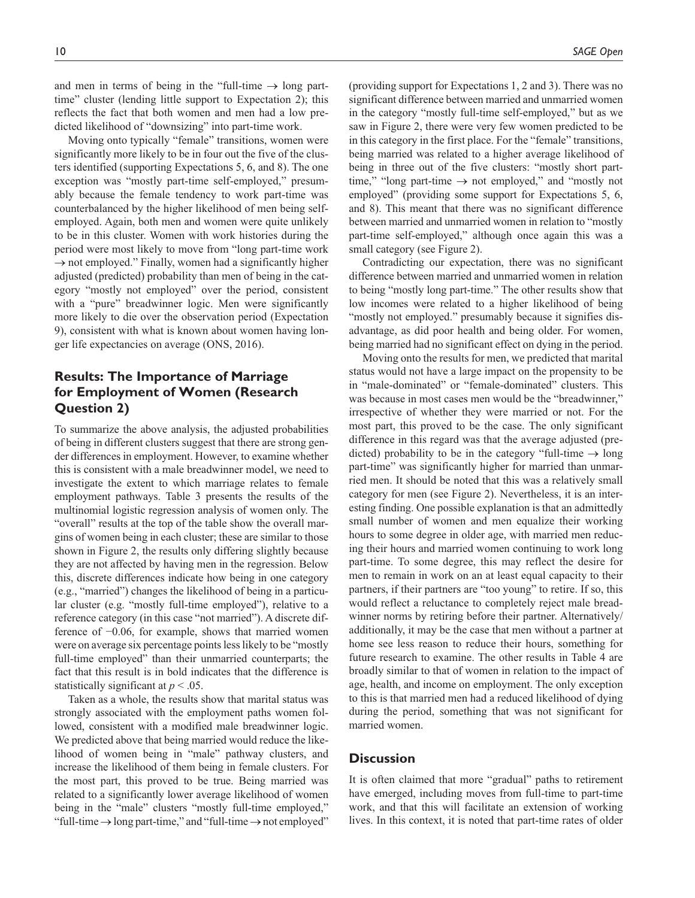and men in terms of being in the "full-time  $\rightarrow$  long parttime" cluster (lending little support to Expectation 2); this reflects the fact that both women and men had a low predicted likelihood of "downsizing" into part-time work.

Moving onto typically "female" transitions, women were significantly more likely to be in four out the five of the clusters identified (supporting Expectations 5, 6, and 8). The one exception was "mostly part-time self-employed," presumably because the female tendency to work part-time was counterbalanced by the higher likelihood of men being selfemployed. Again, both men and women were quite unlikely to be in this cluster. Women with work histories during the period were most likely to move from "long part-time work  $\rightarrow$  not employed." Finally, women had a significantly higher adjusted (predicted) probability than men of being in the category "mostly not employed" over the period, consistent with a "pure" breadwinner logic. Men were significantly more likely to die over the observation period (Expectation 9), consistent with what is known about women having longer life expectancies on average (ONS, 2016).

#### **Results: The Importance of Marriage for Employment of Women (Research Question 2)**

To summarize the above analysis, the adjusted probabilities of being in different clusters suggest that there are strong gender differences in employment. However, to examine whether this is consistent with a male breadwinner model, we need to investigate the extent to which marriage relates to female employment pathways. Table 3 presents the results of the multinomial logistic regression analysis of women only. The "overall" results at the top of the table show the overall margins of women being in each cluster; these are similar to those shown in Figure 2, the results only differing slightly because they are not affected by having men in the regression. Below this, discrete differences indicate how being in one category (e.g., "married") changes the likelihood of being in a particular cluster (e.g. "mostly full-time employed"), relative to a reference category (in this case "not married"). A discrete difference of −0.06, for example, shows that married women were on average six percentage points less likely to be "mostly full-time employed" than their unmarried counterparts; the fact that this result is in bold indicates that the difference is statistically significant at  $p < .05$ .

Taken as a whole, the results show that marital status was strongly associated with the employment paths women followed, consistent with a modified male breadwinner logic. We predicted above that being married would reduce the likelihood of women being in "male" pathway clusters, and increase the likelihood of them being in female clusters. For the most part, this proved to be true. Being married was related to a significantly lower average likelihood of women being in the "male" clusters "mostly full-time employed," "full-time  $\rightarrow$  long part-time," and "full-time  $\rightarrow$  not employed"

(providing support for Expectations 1, 2 and 3). There was no significant difference between married and unmarried women in the category "mostly full-time self-employed," but as we saw in Figure 2, there were very few women predicted to be in this category in the first place. For the "female" transitions, being married was related to a higher average likelihood of being in three out of the five clusters: "mostly short parttime," "long part-time  $\rightarrow$  not employed," and "mostly not employed" (providing some support for Expectations 5, 6, and 8). This meant that there was no significant difference between married and unmarried women in relation to "mostly part-time self-employed," although once again this was a small category (see Figure 2).

Contradicting our expectation, there was no significant difference between married and unmarried women in relation to being "mostly long part-time." The other results show that low incomes were related to a higher likelihood of being "mostly not employed." presumably because it signifies disadvantage, as did poor health and being older. For women, being married had no significant effect on dying in the period.

Moving onto the results for men, we predicted that marital status would not have a large impact on the propensity to be in "male-dominated" or "female-dominated" clusters. This was because in most cases men would be the "breadwinner," irrespective of whether they were married or not. For the most part, this proved to be the case. The only significant difference in this regard was that the average adjusted (predicted) probability to be in the category "full-time  $\rightarrow$  long part-time" was significantly higher for married than unmarried men. It should be noted that this was a relatively small category for men (see Figure 2). Nevertheless, it is an interesting finding. One possible explanation is that an admittedly small number of women and men equalize their working hours to some degree in older age, with married men reducing their hours and married women continuing to work long part-time. To some degree, this may reflect the desire for men to remain in work on an at least equal capacity to their partners, if their partners are "too young" to retire. If so, this would reflect a reluctance to completely reject male breadwinner norms by retiring before their partner. Alternatively/ additionally, it may be the case that men without a partner at home see less reason to reduce their hours, something for future research to examine. The other results in Table 4 are broadly similar to that of women in relation to the impact of age, health, and income on employment. The only exception to this is that married men had a reduced likelihood of dying during the period, something that was not significant for married women.

#### **Discussion**

It is often claimed that more "gradual" paths to retirement have emerged, including moves from full-time to part-time work, and that this will facilitate an extension of working lives. In this context, it is noted that part-time rates of older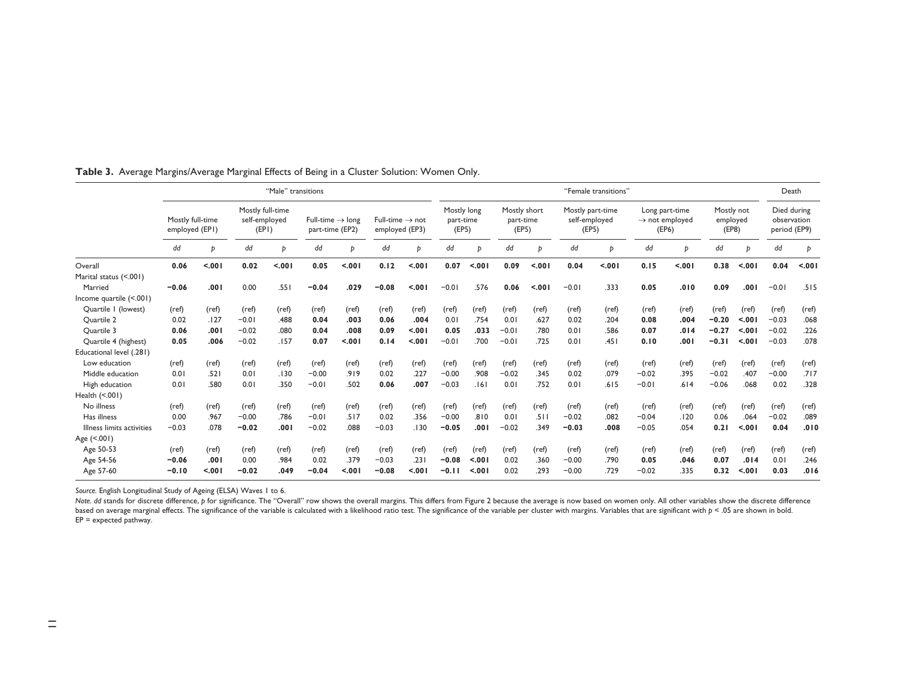|                           | "Male" transitions                 |        |                                            |        |                                                 |        |                                               |        |                                   | "Female transitions" |                                    |        |                                            |        |                                                       |       |                                 |        |                                            | Death  |  |
|---------------------------|------------------------------------|--------|--------------------------------------------|--------|-------------------------------------------------|--------|-----------------------------------------------|--------|-----------------------------------|----------------------|------------------------------------|--------|--------------------------------------------|--------|-------------------------------------------------------|-------|---------------------------------|--------|--------------------------------------------|--------|--|
|                           | Mostly full-time<br>employed (EPI) |        | Mostly full-time<br>self-employed<br>(EPI) |        | Full-time $\rightarrow$ long<br>part-time (EP2) |        | Full-time $\rightarrow$ not<br>employed (EP3) |        | Mostly long<br>part-time<br>(EP5) |                      | Mostly short<br>part-time<br>(EP5) |        | Mostly part-time<br>self-employed<br>(EP5) |        | Long part-time<br>$\rightarrow$ not employed<br>(EP6) |       | Mostly not<br>employed<br>(EP8) |        | Died during<br>observation<br>period (EP9) |        |  |
|                           | dd                                 | b      | dd                                         | b      | dd                                              | b      | dd                                            | Þ      | dd                                | b                    | dd                                 | Þ      | dd                                         | b      | dd                                                    | b     | dd                              | đ      | dd                                         | Þ      |  |
| Overall                   | 0.06                               | < .001 | 0.02                                       | < .001 | 0.05                                            | < .001 | 0.12                                          | < .001 | 0.07                              | < 001                | 0.09                               | < .001 | 0.04                                       | < .001 | 0.15                                                  | 5.001 | 0.38                            | < .001 | 0.04                                       | < .001 |  |
| Marital status (<.001)    |                                    |        |                                            |        |                                                 |        |                                               |        |                                   |                      |                                    |        |                                            |        |                                                       |       |                                 |        |                                            |        |  |
| Married                   | $-0.06$                            | .001   | 0.00                                       | .551   | $-0.04$                                         | .029   | $-0.08$                                       | < .001 | $-0.01$                           | .576                 | 0.06                               | < .001 | $-0.01$                                    | .333   | 0.05                                                  | .010  | 0.09                            | .001   | $-0.01$                                    | .515   |  |
| Income quartile (<.001)   |                                    |        |                                            |        |                                                 |        |                                               |        |                                   |                      |                                    |        |                                            |        |                                                       |       |                                 |        |                                            |        |  |
| Quartile I (lowest)       | (ref)                              | (ref)  | (ref)                                      | (ref)  | (ref)                                           | (ref)  | (ref)                                         | (ref)  | (ref)                             | (ref)                | (ref)                              | (ref)  | (ref)                                      | (ref)  | (ref)                                                 | (ref) | (ref)                           | (ref)  | (ref)                                      | (ref)  |  |
| Ouartile 2                | 0.02                               | .127   | $-0.01$                                    | .488   | 0.04                                            | .003   | 0.06                                          | .004   | 0.01                              | .754                 | 0.01                               | .627   | 0.02                                       | .204   | 0.08                                                  | .004  | $-0.20$                         | < .001 | $-0.03$                                    | .068   |  |
| Quartile 3                | 0.06                               | .001   | $-0.02$                                    | .080   | 0.04                                            | .008   | 0.09                                          | < .001 | 0.05                              | .033                 | $-0.01$                            | .780   | 0.01                                       | .586   | 0.07                                                  | .014  | $-0.27$                         | < .001 | $-0.02$                                    | .226   |  |
| Quartile 4 (highest)      | 0.05                               | .006   | $-0.02$                                    | .157   | 0.07                                            | < .001 | 0.14                                          | < .001 | $-0.01$                           | .700                 | $-0.01$                            | .725   | 0.01                                       | .451   | 0.10                                                  | .001  | $-0.31$                         | < .001 | $-0.03$                                    | .078   |  |
| Educational level (.281)  |                                    |        |                                            |        |                                                 |        |                                               |        |                                   |                      |                                    |        |                                            |        |                                                       |       |                                 |        |                                            |        |  |
| Low education             | (ref)                              | (ref)  | (ref)                                      | (ref)  | (ref)                                           | (ref)  | (ref)                                         | (ref)  | (ref)                             | (ref)                | (ref)                              | (ref)  | (ref)                                      | (ref)  | (ref)                                                 | (ref) | (ref)                           | (ref)  | (ref)                                      | (ref)  |  |
| Middle education          | 0.01                               | .521   | 0.01                                       | .130   | $-0.00$                                         | .919   | 0.02                                          | .227   | $-0.00$                           | .908                 | $-0.02$                            | .345   | 0.02                                       | .079   | $-0.02$                                               | .395  | $-0.02$                         | .407   | $-0.00$                                    | .717   |  |
| High education            | 0.01                               | .580   | 0.01                                       | .350   | $-0.01$                                         | .502   | 0.06                                          | .007   | $-0.03$                           | .161                 | 0.01                               | .752   | 0.01                                       | .615   | $-0.01$                                               | .614  | $-0.06$                         | .068   | 0.02                                       | .328   |  |
| Health (<.001)            |                                    |        |                                            |        |                                                 |        |                                               |        |                                   |                      |                                    |        |                                            |        |                                                       |       |                                 |        |                                            |        |  |
| No illness                | (ref)                              | (ref)  | (ref)                                      | (ref)  | (ref)                                           | (ref)  | (ref)                                         | (ref)  | (ref)                             | (ref)                | (ref)                              | (ref)  | (ref)                                      | (ref)  | (ref)                                                 | (ref) | (ref)                           | (ref)  | (ref)                                      | (ref)  |  |
| Has illness               | 0.00                               | .967   | $-0.00$                                    | .786   | $-0.01$                                         | .517   | 0.02                                          | .356   | $-0.00$                           | .810                 | 0.01                               | .51    | $-0.02$                                    | .082   | $-0.04$                                               | .120  | 0.06                            | .064   | $-0.02$                                    | .089   |  |
| Illness limits activities | $-0.03$                            | .078   | $-0.02$                                    | .001   | $-0.02$                                         | .088   | $-0.03$                                       | .130   | $-0.05$                           | .001                 | $-0.02$                            | .349   | $-0.03$                                    | .008   | $-0.05$                                               | .054  | 0.21                            | < .001 | 0.04                                       | .010   |  |
| Age (<.001)               |                                    |        |                                            |        |                                                 |        |                                               |        |                                   |                      |                                    |        |                                            |        |                                                       |       |                                 |        |                                            |        |  |
| Age 50-53                 | (ref)                              | (ref)  | (ref)                                      | (ref)  | (ref)                                           | (ref)  | (ref)                                         | (ref)  | (ref)                             | (ref)                | (ref)                              | (ref)  | (ref)                                      | (ref)  | (ref)                                                 | (ref) | (ref)                           | (ref)  | (ref)                                      | (ref)  |  |
| Age 54-56                 | $-0.06$                            | .001   | 0.00                                       | .984   | 0.02                                            | .379   | $-0.03$                                       | .231   | $-0.08$                           | < .001               | 0.02                               | .360   | $-0.00$                                    | .790   | 0.05                                                  | .046  | 0.07                            | .014   | 0.01                                       | .246   |  |
| Age 57-60                 | $-0.10$                            | < .001 | $-0.02$                                    | .049   | $-0.04$                                         | < .001 | $-0.08$                                       | < .001 | $-0.11$                           | < 0.01               | 0.02                               | .293   | $-0.00$                                    | .729   | $-0.02$                                               | .335  | 0.32                            | < .001 | 0.03                                       | .016   |  |

#### **Table 3.** Average Margins/Average Marginal Effects of Being in a Cluster Solution: Women Only.

*Source.* English Longitudinal Study of Ageing (ELSA) Waves 1 to 6.

Note. dd stands for discrete difference, p for significance. The "Overall" row shows the overall margins. This differs from Figure 2 because the average is now based on women only. All other variables show the discrete dif based on average marginal effects. The significance of the variable is calculated with a likelihood ratio test. The significance of the variable per cluster with margins. Variables that are significant with p < .05 are sho  $EP = expected$  pathway.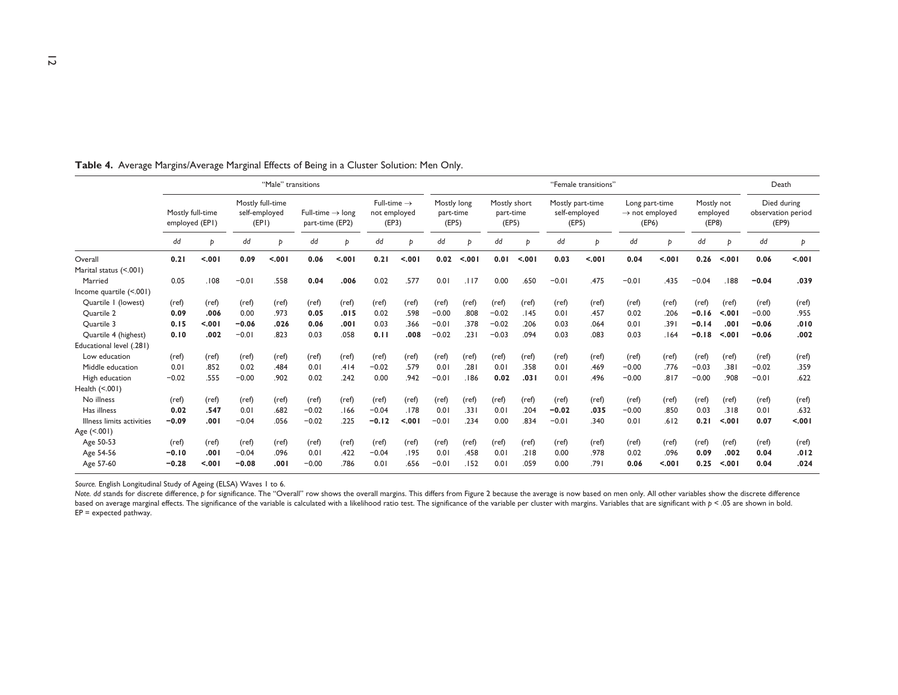|                           | "Male" transitions                 |        |                                            |        |                                                 |          |                                                  |        |                                   | "Female transitions" |                                    |        |                                            |        |                                                       |        |                                 |        | Death                                      |        |
|---------------------------|------------------------------------|--------|--------------------------------------------|--------|-------------------------------------------------|----------|--------------------------------------------------|--------|-----------------------------------|----------------------|------------------------------------|--------|--------------------------------------------|--------|-------------------------------------------------------|--------|---------------------------------|--------|--------------------------------------------|--------|
|                           | Mostly full-time<br>employed (EPI) |        | Mostly full-time<br>self-employed<br>(EPI) |        | Full-time $\rightarrow$ long<br>part-time (EP2) |          | Full-time $\rightarrow$<br>not employed<br>(EP3) |        | Mostly long<br>part-time<br>(EP5) |                      | Mostly short<br>part-time<br>(EP5) |        | Mostly part-time<br>self-employed<br>(EP5) |        | Long part-time<br>$\rightarrow$ not employed<br>(EP6) |        | Mostly not<br>employed<br>(EP8) |        | Died during<br>observation period<br>(EP9) |        |
|                           | dd                                 | b      | dd                                         | Þ      | dd                                              | <b>b</b> | dd                                               | b      | dd                                | b                    | dd                                 | b      | dd                                         | b      | dd                                                    | b      | dd                              | b      | dd                                         | b      |
| Overall                   | 0.21                               | < .001 | 0.09                                       | < .001 | 0.06                                            | < .001   | 0.21                                             | < .001 | 0.02                              | < .001               | 0.01                               | < .001 | 0.03                                       | < .001 | 0.04                                                  | < .001 | 0.26                            | < .001 | 0.06                                       | < .001 |
| Marital status (<.001)    |                                    |        |                                            |        |                                                 |          |                                                  |        |                                   |                      |                                    |        |                                            |        |                                                       |        |                                 |        |                                            |        |
| Married                   | 0.05                               | .108   | $-0.01$                                    | .558   | 0.04                                            | .006     | 0.02                                             | .577   | 0.01                              | .117                 | 0.00                               | .650   | $-0.01$                                    | .475   | $-0.01$                                               | .435   | $-0.04$                         | .188   | $-0.04$                                    | .039   |
| Income quartile (<.001)   |                                    |        |                                            |        |                                                 |          |                                                  |        |                                   |                      |                                    |        |                                            |        |                                                       |        |                                 |        |                                            |        |
| Quartile I (lowest)       | (ref)                              | (ref)  | (ref)                                      | (ref)  | (ref)                                           | (ref)    | (ref)                                            | (ref)  | (ref)                             | (ref)                | (ref)                              | (ref)  | (ref)                                      | (ref)  | (ref)                                                 | (ref)  | (ref)                           | (ref)  | (ref)                                      | (ref)  |
| Ouartile 2                | 0.09                               | .006   | 0.00                                       | .973   | 0.05                                            | .015     | 0.02                                             | .598   | $-0.00$                           | .808                 | $-0.02$                            | .145   | 0.01                                       | .457   | 0.02                                                  | .206   | $-0.16$                         | < .001 | $-0.00$                                    | .955   |
| Ouartile 3                | 0.15                               | < .001 | $-0.06$                                    | .026   | 0.06                                            | .001     | 0.03                                             | .366   | $-0.01$                           | .378                 | $-0.02$                            | .206   | 0.03                                       | .064   | 0.01                                                  | .391   | $-0.14$                         | .001   | $-0.06$                                    | .010   |
| Quartile 4 (highest)      | 0.10                               | .002   | $-0.01$                                    | .823   | 0.03                                            | .058     | 0.11                                             | .008   | $-0.02$                           | .231                 | $-0.03$                            | .094   | 0.03                                       | .083   | 0.03                                                  | .164   | $-0.18$                         | < .001 | $-0.06$                                    | .002   |
| Educational level (.281)  |                                    |        |                                            |        |                                                 |          |                                                  |        |                                   |                      |                                    |        |                                            |        |                                                       |        |                                 |        |                                            |        |
| Low education             | (ref)                              | (ref)  | (ref)                                      | (ref)  | (ref)                                           | (ref)    | (ref)                                            | (ref)  | (ref)                             | (ref)                | (ref)                              | (ref)  | (ref)                                      | (ref)  | (ref)                                                 | (ref)  | (ref)                           | (ref)  | (ref)                                      | (ref)  |
| Middle education          | 0.01                               | .852   | 0.02                                       | .484   | 0.01                                            | .414     | $-0.02$                                          | .579   | 0.01                              | .281                 | 0.01                               | .358   | 0.01                                       | .469   | $-0.00$                                               | .776   | $-0.03$                         | .381   | $-0.02$                                    | .359   |
| High education            | $-0.02$                            | .555   | $-0.00$                                    | .902   | 0.02                                            | .242     | 0.00                                             | .942   | $-0.01$                           | .186                 | 0.02                               | .03    | 0.01                                       | .496   | $-0.00$                                               | .817   | $-0.00$                         | .908   | $-0.01$                                    | .622   |
| Health (<.001)            |                                    |        |                                            |        |                                                 |          |                                                  |        |                                   |                      |                                    |        |                                            |        |                                                       |        |                                 |        |                                            |        |
| No illness                | (ref)                              | (ref)  | (ref)                                      | (ref)  | (ref)                                           | (ref)    | (ref)                                            | (ref)  | (ref)                             | (ref)                | (ref)                              | (ref)  | (ref)                                      | (ref)  | (ref)                                                 | (ref)  | (ref)                           | (ref)  | (ref)                                      | (ref)  |
| Has illness               | 0.02                               | .547   | 0.01                                       | .682   | $-0.02$                                         | .166     | $-0.04$                                          | .178   | 0.01                              | .331                 | 0.01                               | .204   | $-0.02$                                    | .035   | $-0.00$                                               | .850   | 0.03                            | .318   | 0.01                                       | .632   |
| Illness limits activities | $-0.09$                            | .001   | $-0.04$                                    | .056   | $-0.02$                                         | .225     | $-0.12$                                          | < .001 | $-0.01$                           | .234                 | 0.00                               | .834   | $-0.01$                                    | .340   | 0.01                                                  | .612   | 0.21                            | < .001 | 0.07                                       | < .001 |
| Age (<.001)               |                                    |        |                                            |        |                                                 |          |                                                  |        |                                   |                      |                                    |        |                                            |        |                                                       |        |                                 |        |                                            |        |
| Age 50-53                 | (ref)                              | (ref)  | (ref)                                      | (ref)  | (ref)                                           | (ref)    | (ref)                                            | (ref)  | (ref)                             | (ref)                | (ref)                              | (ref)  | (ref)                                      | (ref)  | (ref)                                                 | (ref)  | (ref)                           | (ref)  | (ref)                                      | (ref)  |
| Age 54-56                 | $-0.10$                            | .001   | $-0.04$                                    | .096   | 0.01                                            | .422     | $-0.04$                                          | .195   | 0.01                              | .458                 | 0.01                               | .218   | 0.00                                       | .978   | 0.02                                                  | .096   | 0.09                            | .002   | 0.04                                       | .012   |
| Age 57-60                 | $-0.28$                            | < .001 | $-0.08$                                    | .001   | $-0.00$                                         | .786     | 0.01                                             | .656   | $-0.01$                           | .152                 | 0.01                               | .059   | 0.00                                       | .791   | 0.06                                                  | < .001 | 0.25                            | < .001 | 0.04                                       | .024   |

**Table 4.** Average Margins/Average Marginal Effects of Being in a Cluster Solution: Men Only.

*Source.* English Longitudinal Study of Ageing (ELSA) Waves 1 to 6.

Note. dd stands for discrete difference, p for significance. The "Overall" row shows the overall margins. This differs from Figure 2 because the average is now based on men only. All other variables show the discrete diffe based on average marginal effects. The significance of the variable is calculated with a likelihood ratio test. The significance of the variable per cluster with margins. Variables that are significant with  $p < 05$  are sho  $EP = expected$  pathway.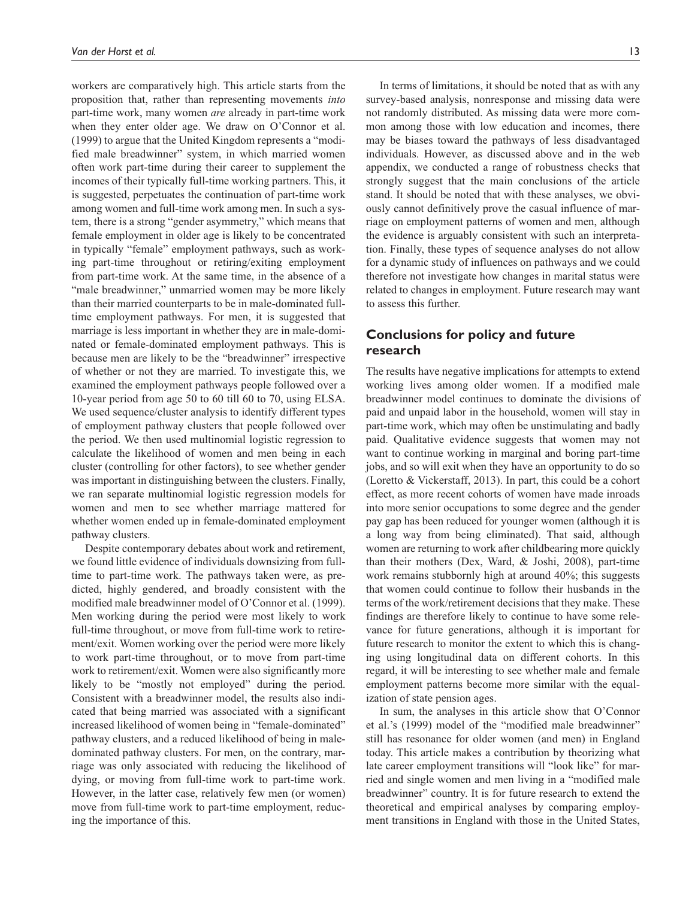workers are comparatively high. This article starts from the proposition that, rather than representing movements *into* part-time work, many women *are* already in part-time work when they enter older age. We draw on O'Connor et al. (1999) to argue that the United Kingdom represents a "modified male breadwinner" system, in which married women often work part-time during their career to supplement the incomes of their typically full-time working partners. This, it is suggested, perpetuates the continuation of part-time work among women and full-time work among men. In such a system, there is a strong "gender asymmetry," which means that female employment in older age is likely to be concentrated in typically "female" employment pathways, such as working part-time throughout or retiring/exiting employment from part-time work. At the same time, in the absence of a "male breadwinner," unmarried women may be more likely than their married counterparts to be in male-dominated fulltime employment pathways. For men, it is suggested that marriage is less important in whether they are in male-dominated or female-dominated employment pathways. This is because men are likely to be the "breadwinner" irrespective of whether or not they are married. To investigate this, we examined the employment pathways people followed over a 10-year period from age 50 to 60 till 60 to 70, using ELSA. We used sequence/cluster analysis to identify different types of employment pathway clusters that people followed over the period. We then used multinomial logistic regression to calculate the likelihood of women and men being in each cluster (controlling for other factors), to see whether gender was important in distinguishing between the clusters. Finally, we ran separate multinomial logistic regression models for women and men to see whether marriage mattered for whether women ended up in female-dominated employment pathway clusters.

Despite contemporary debates about work and retirement, we found little evidence of individuals downsizing from fulltime to part-time work. The pathways taken were, as predicted, highly gendered, and broadly consistent with the modified male breadwinner model of O'Connor et al. (1999). Men working during the period were most likely to work full-time throughout, or move from full-time work to retirement/exit. Women working over the period were more likely to work part-time throughout, or to move from part-time work to retirement/exit. Women were also significantly more likely to be "mostly not employed" during the period. Consistent with a breadwinner model, the results also indicated that being married was associated with a significant increased likelihood of women being in "female-dominated" pathway clusters, and a reduced likelihood of being in maledominated pathway clusters. For men, on the contrary, marriage was only associated with reducing the likelihood of dying, or moving from full-time work to part-time work. However, in the latter case, relatively few men (or women) move from full-time work to part-time employment, reducing the importance of this.

In terms of limitations, it should be noted that as with any survey-based analysis, nonresponse and missing data were not randomly distributed. As missing data were more common among those with low education and incomes, there may be biases toward the pathways of less disadvantaged individuals. However, as discussed above and in the web appendix, we conducted a range of robustness checks that strongly suggest that the main conclusions of the article stand. It should be noted that with these analyses, we obviously cannot definitively prove the casual influence of marriage on employment patterns of women and men, although the evidence is arguably consistent with such an interpretation. Finally, these types of sequence analyses do not allow for a dynamic study of influences on pathways and we could therefore not investigate how changes in marital status were related to changes in employment. Future research may want to assess this further.

#### **Conclusions for policy and future research**

The results have negative implications for attempts to extend working lives among older women. If a modified male breadwinner model continues to dominate the divisions of paid and unpaid labor in the household, women will stay in part-time work, which may often be unstimulating and badly paid. Qualitative evidence suggests that women may not want to continue working in marginal and boring part-time jobs, and so will exit when they have an opportunity to do so (Loretto & Vickerstaff, 2013). In part, this could be a cohort effect, as more recent cohorts of women have made inroads into more senior occupations to some degree and the gender pay gap has been reduced for younger women (although it is a long way from being eliminated). That said, although women are returning to work after childbearing more quickly than their mothers (Dex, Ward, & Joshi, 2008), part-time work remains stubbornly high at around 40%; this suggests that women could continue to follow their husbands in the terms of the work/retirement decisions that they make. These findings are therefore likely to continue to have some relevance for future generations, although it is important for future research to monitor the extent to which this is changing using longitudinal data on different cohorts. In this regard, it will be interesting to see whether male and female employment patterns become more similar with the equalization of state pension ages.

In sum, the analyses in this article show that O'Connor et al.'s (1999) model of the "modified male breadwinner" still has resonance for older women (and men) in England today. This article makes a contribution by theorizing what late career employment transitions will "look like" for married and single women and men living in a "modified male breadwinner" country. It is for future research to extend the theoretical and empirical analyses by comparing employment transitions in England with those in the United States,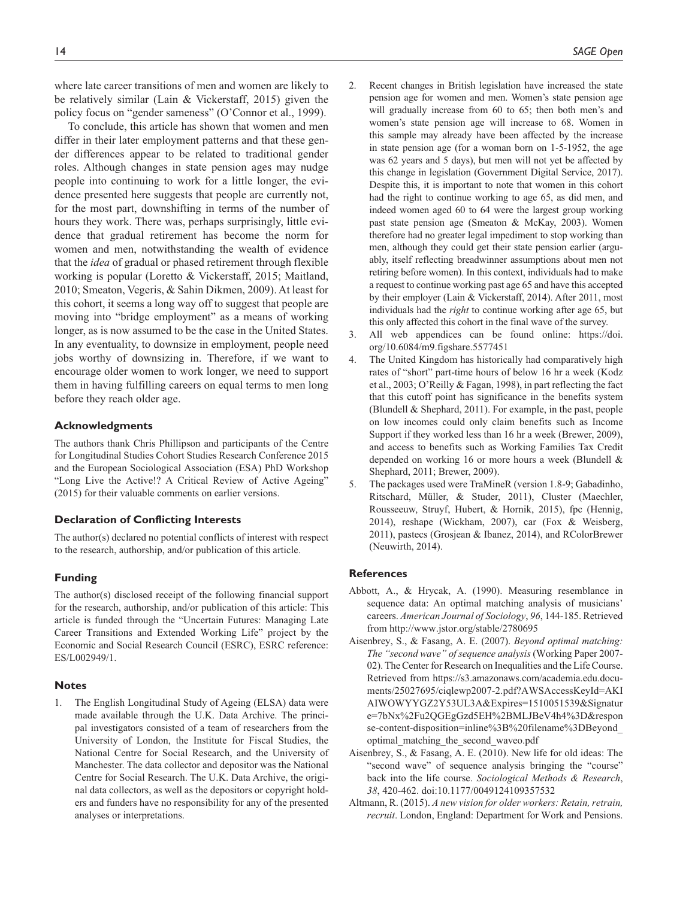where late career transitions of men and women are likely to be relatively similar (Lain & Vickerstaff, 2015) given the policy focus on "gender sameness" (O'Connor et al., 1999).

To conclude, this article has shown that women and men differ in their later employment patterns and that these gender differences appear to be related to traditional gender roles. Although changes in state pension ages may nudge people into continuing to work for a little longer, the evidence presented here suggests that people are currently not, for the most part, downshifting in terms of the number of hours they work. There was, perhaps surprisingly, little evidence that gradual retirement has become the norm for women and men, notwithstanding the wealth of evidence that the *idea* of gradual or phased retirement through flexible working is popular (Loretto & Vickerstaff, 2015; Maitland, 2010; Smeaton, Vegeris, & Sahin Dikmen, 2009). At least for this cohort, it seems a long way off to suggest that people are moving into "bridge employment" as a means of working longer, as is now assumed to be the case in the United States. In any eventuality, to downsize in employment, people need jobs worthy of downsizing in. Therefore, if we want to encourage older women to work longer, we need to support them in having fulfilling careers on equal terms to men long before they reach older age.

#### **Acknowledgments**

The authors thank Chris Phillipson and participants of the Centre for Longitudinal Studies Cohort Studies Research Conference 2015 and the European Sociological Association (ESA) PhD Workshop "Long Live the Active!? A Critical Review of Active Ageing" (2015) for their valuable comments on earlier versions.

#### **Declaration of Conflicting Interests**

The author(s) declared no potential conflicts of interest with respect to the research, authorship, and/or publication of this article.

#### **Funding**

The author(s) disclosed receipt of the following financial support for the research, authorship, and/or publication of this article: This article is funded through the "Uncertain Futures: Managing Late Career Transitions and Extended Working Life" project by the Economic and Social Research Council (ESRC), ESRC reference: ES/L002949/1.

#### **Notes**

1. The English Longitudinal Study of Ageing (ELSA) data were made available through the U.K. Data Archive. The principal investigators consisted of a team of researchers from the University of London, the Institute for Fiscal Studies, the National Centre for Social Research, and the University of Manchester. The data collector and depositor was the National Centre for Social Research. The U.K. Data Archive, the original data collectors, as well as the depositors or copyright holders and funders have no responsibility for any of the presented analyses or interpretations.

- 2. Recent changes in British legislation have increased the state pension age for women and men. Women's state pension age will gradually increase from 60 to 65; then both men's and women's state pension age will increase to 68. Women in this sample may already have been affected by the increase in state pension age (for a woman born on 1-5-1952, the age was 62 years and 5 days), but men will not yet be affected by this change in legislation (Government Digital Service, 2017). Despite this, it is important to note that women in this cohort had the right to continue working to age 65, as did men, and indeed women aged 60 to 64 were the largest group working past state pension age (Smeaton & McKay, 2003). Women therefore had no greater legal impediment to stop working than men, although they could get their state pension earlier (arguably, itself reflecting breadwinner assumptions about men not retiring before women). In this context, individuals had to make a request to continue working past age 65 and have this accepted by their employer (Lain & Vickerstaff, 2014). After 2011, most individuals had the *right* to continue working after age 65, but this only affected this cohort in the final wave of the survey.
- 3. All web appendices can be found online: [https://doi.](https://doi.org/10.6084/m9.figshare.5577451) [org/10.6084/m9.figshare.5577451](https://doi.org/10.6084/m9.figshare.5577451)
- 4. The United Kingdom has historically had comparatively high rates of "short" part-time hours of below 16 hr a week (Kodz et al., 2003; O'Reilly & Fagan, 1998), in part reflecting the fact that this cutoff point has significance in the benefits system (Blundell & Shephard, 2011). For example, in the past, people on low incomes could only claim benefits such as Income Support if they worked less than 16 hr a week (Brewer, 2009), and access to benefits such as Working Families Tax Credit depended on working 16 or more hours a week (Blundell & Shephard, 2011; Brewer, 2009).
- 5. The packages used were TraMineR (version 1.8-9; Gabadinho, Ritschard, Müller, & Studer, 2011), Cluster (Maechler, Rousseeuw, Struyf, Hubert, & Hornik, 2015), fpc (Hennig, 2014), reshape (Wickham, 2007), car (Fox & Weisberg, 2011), pastecs (Grosjean & Ibanez, 2014), and RColorBrewer (Neuwirth, 2014).

#### **References**

- Abbott, A., & Hrycak, A. (1990). Measuring resemblance in sequence data: An optimal matching analysis of musicians' careers. *American Journal of Sociology*, *96*, 144-185. Retrieved from<http://www.jstor.org/stable/2780695>
- Aisenbrey, S., & Fasang, A. E. (2007). *Beyond optimal matching: The "second wave" of sequence analysis* (Working Paper 2007- 02). The Center for Research on Inequalities and the Life Course. Retrieved from [https://s3.amazonaws.com/academia.edu.docu](https://s3.amazonaws.com/academia.edu.documents/25027695/ciqlewp2007-2.pdf?AWSAccessKeyId=AKIAIWOWYYGZ2Y53UL3A&Expires=1510051539&Signature=7bNx%2Fu2QGEgGzd5EH%2BMLJBeV4h4%3D&response-content-disposition=inline%3B%20filename%3DBeyond_optimal_matching_the_second_waveo.pdf)[ments/25027695/ciqlewp2007-2.pdf?AWSAccessKeyId=AKI](https://s3.amazonaws.com/academia.edu.documents/25027695/ciqlewp2007-2.pdf?AWSAccessKeyId=AKIAIWOWYYGZ2Y53UL3A&Expires=1510051539&Signature=7bNx%2Fu2QGEgGzd5EH%2BMLJBeV4h4%3D&response-content-disposition=inline%3B%20filename%3DBeyond_optimal_matching_the_second_waveo.pdf) [AIWOWYYGZ2Y53UL3A&Expires=1510051539&Signatur](https://s3.amazonaws.com/academia.edu.documents/25027695/ciqlewp2007-2.pdf?AWSAccessKeyId=AKIAIWOWYYGZ2Y53UL3A&Expires=1510051539&Signature=7bNx%2Fu2QGEgGzd5EH%2BMLJBeV4h4%3D&response-content-disposition=inline%3B%20filename%3DBeyond_optimal_matching_the_second_waveo.pdf) [e=7bNx%2Fu2QGEgGzd5EH%2BMLJBeV4h4%3D&respon](https://s3.amazonaws.com/academia.edu.documents/25027695/ciqlewp2007-2.pdf?AWSAccessKeyId=AKIAIWOWYYGZ2Y53UL3A&Expires=1510051539&Signature=7bNx%2Fu2QGEgGzd5EH%2BMLJBeV4h4%3D&response-content-disposition=inline%3B%20filename%3DBeyond_optimal_matching_the_second_waveo.pdf) [se-content-disposition=inline%3B%20filename%3DBeyond\\_](https://s3.amazonaws.com/academia.edu.documents/25027695/ciqlewp2007-2.pdf?AWSAccessKeyId=AKIAIWOWYYGZ2Y53UL3A&Expires=1510051539&Signature=7bNx%2Fu2QGEgGzd5EH%2BMLJBeV4h4%3D&response-content-disposition=inline%3B%20filename%3DBeyond_optimal_matching_the_second_waveo.pdf) [optimal\\_matching\\_the\\_second\\_waveo.pdf](https://s3.amazonaws.com/academia.edu.documents/25027695/ciqlewp2007-2.pdf?AWSAccessKeyId=AKIAIWOWYYGZ2Y53UL3A&Expires=1510051539&Signature=7bNx%2Fu2QGEgGzd5EH%2BMLJBeV4h4%3D&response-content-disposition=inline%3B%20filename%3DBeyond_optimal_matching_the_second_waveo.pdf)
- Aisenbrey, S., & Fasang, A. E. (2010). New life for old ideas: The "second wave" of sequence analysis bringing the "course" back into the life course. *Sociological Methods & Research*, *38*, 420-462. doi:10.1177/0049124109357532
- Altmann, R. (2015). *A new vision for older workers: Retain, retrain, recruit*. London, England: Department for Work and Pensions.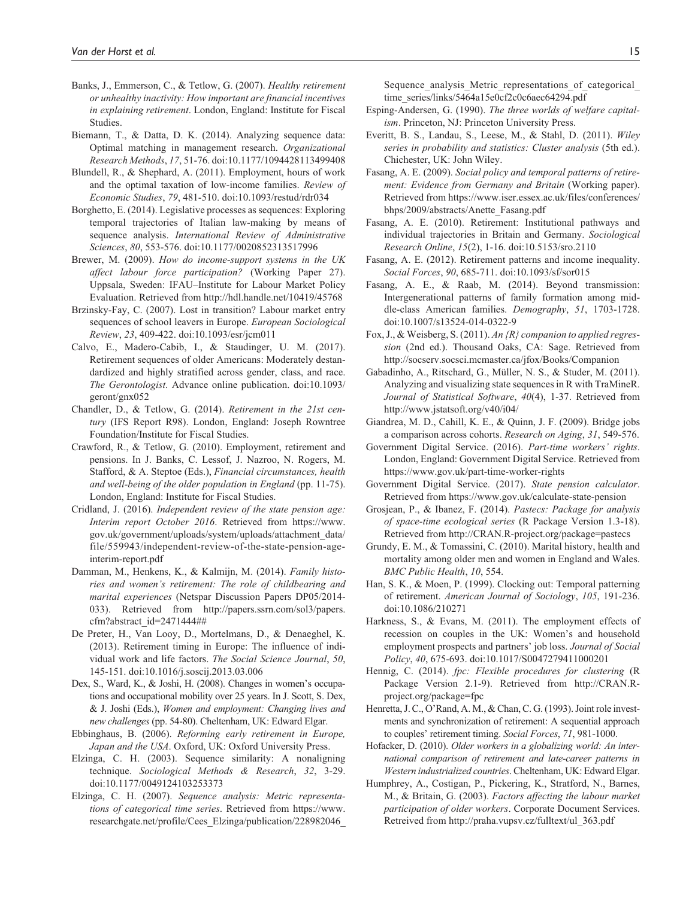- Banks, J., Emmerson, C., & Tetlow, G. (2007). *Healthy retirement or unhealthy inactivity: How important are financial incentives in explaining retirement*. London, England: Institute for Fiscal Studies.
- Biemann, T., & Datta, D. K. (2014). Analyzing sequence data: Optimal matching in management research. *Organizational Research Methods*, *17*, 51-76. doi:10.1177/1094428113499408
- Blundell, R., & Shephard, A. (2011). Employment, hours of work and the optimal taxation of low-income families. *Review of Economic Studies*, *79*, 481-510. doi:10.1093/restud/rdr034
- Borghetto, E. (2014). Legislative processes as sequences: Exploring temporal trajectories of Italian law-making by means of sequence analysis. *International Review of Administrative Sciences*, *80*, 553-576. doi:10.1177/0020852313517996
- Brewer, M. (2009). *How do income-support systems in the UK affect labour force participation?* (Working Paper 27). Uppsala, Sweden: IFAU–Institute for Labour Market Policy Evaluation. Retrieved from<http://hdl.handle.net/10419/45768>
- Brzinsky-Fay, C. (2007). Lost in transition? Labour market entry sequences of school leavers in Europe. *European Sociological Review*, *23*, 409-422. doi:10.1093/esr/jcm011
- Calvo, E., Madero-Cabib, I., & Staudinger, U. M. (2017). Retirement sequences of older Americans: Moderately destandardized and highly stratified across gender, class, and race. *The Gerontologist*. Advance online publication. doi:10.1093/ geront/gnx052
- Chandler, D., & Tetlow, G. (2014). *Retirement in the 21st century* (IFS Report R98). London, England: Joseph Rowntree Foundation/Institute for Fiscal Studies.
- Crawford, R., & Tetlow, G. (2010). Employment, retirement and pensions. In J. Banks, C. Lessof, J. Nazroo, N. Rogers, M. Stafford, & A. Steptoe (Eds.), *Financial circumstances, health and well-being of the older population in England* (pp. 11-75). London, England: Institute for Fiscal Studies.
- Cridland, J. (2016). *Independent review of the state pension age: Interim report October 2016*. Retrieved from [https://www.](https://www.gov.uk/government/uploads/system/uploads/attachment_data/file/559943/independent-review-of-the-state-pension-age-interim-report.pdf) [gov.uk/government/uploads/system/uploads/attachment\\_data/](https://www.gov.uk/government/uploads/system/uploads/attachment_data/file/559943/independent-review-of-the-state-pension-age-interim-report.pdf) [file/559943/independent-review-of-the-state-pension-age](https://www.gov.uk/government/uploads/system/uploads/attachment_data/file/559943/independent-review-of-the-state-pension-age-interim-report.pdf)[interim-report.pdf](https://www.gov.uk/government/uploads/system/uploads/attachment_data/file/559943/independent-review-of-the-state-pension-age-interim-report.pdf)
- Damman, M., Henkens, K., & Kalmijn, M. (2014). *Family histories and women's retirement: The role of childbearing and marital experiences* (Netspar Discussion Papers DP05/2014- 033). Retrieved from [http://papers.ssrn.com/sol3/papers.](http://papers.ssrn.com/sol3/papers.cfm?abstract_id=2471444##) [cfm?abstract\\_id=2471444##](http://papers.ssrn.com/sol3/papers.cfm?abstract_id=2471444##)
- De Preter, H., Van Looy, D., Mortelmans, D., & Denaeghel, K. (2013). Retirement timing in Europe: The influence of individual work and life factors. *The Social Science Journal*, *50*, 145-151. doi:10.1016/j.soscij.2013.03.006
- Dex, S., Ward, K., & Joshi, H. (2008). Changes in women's occupations and occupational mobility over 25 years. In J. Scott, S. Dex, & J. Joshi (Eds.), *Women and employment: Changing lives and new challenges* (pp. 54-80). Cheltenham, UK: Edward Elgar.
- Ebbinghaus, B. (2006). *Reforming early retirement in Europe, Japan and the USA*. Oxford, UK: Oxford University Press.
- Elzinga, C. H. (2003). Sequence similarity: A nonaligning technique. *Sociological Methods & Research*, *32*, 3-29. doi:10.1177/0049124103253373
- Elzinga, C. H. (2007). *Sequence analysis: Metric representations of categorical time series*. Retrieved from [https://www.](https://www.researchgate.net/profile/Cees_Elzinga/publication/228982046_Sequence_analysis_Metric_representations_of_categorical_time_series/links/5464a15e0cf2c0c6aec64294.pdf) [researchgate.net/profile/Cees\\_Elzinga/publication/228982046\\_](https://www.researchgate.net/profile/Cees_Elzinga/publication/228982046_Sequence_analysis_Metric_representations_of_categorical_time_series/links/5464a15e0cf2c0c6aec64294.pdf)

Sequence analysis Metric representations of categorical [time\\_series/links/5464a15e0cf2c0c6aec64294.pdf](https://www.researchgate.net/profile/Cees_Elzinga/publication/228982046_Sequence_analysis_Metric_representations_of_categorical_time_series/links/5464a15e0cf2c0c6aec64294.pdf)

- Esping-Andersen, G. (1990). *The three worlds of welfare capitalism*. Princeton, NJ: Princeton University Press.
- Everitt, B. S., Landau, S., Leese, M., & Stahl, D. (2011). *Wiley series in probability and statistics: Cluster analysis* (5th ed.). Chichester, UK: John Wiley.
- Fasang, A. E. (2009). *Social policy and temporal patterns of retirement: Evidence from Germany and Britain* (Working paper). Retrieved from [https://www.iser.essex.ac.uk/files/conferences/](https://www.iser.essex.ac.uk/files/conferences/bhps/2009/abstracts/Anette_Fasang.pdf) [bhps/2009/abstracts/Anette\\_Fasang.pdf](https://www.iser.essex.ac.uk/files/conferences/bhps/2009/abstracts/Anette_Fasang.pdf)
- Fasang, A. E. (2010). Retirement: Institutional pathways and individual trajectories in Britain and Germany. *Sociological Research Online*, *15*(2), 1-16. doi:10.5153/sro.2110
- Fasang, A. E. (2012). Retirement patterns and income inequality. *Social Forces*, *90*, 685-711. doi:10.1093/sf/sor015
- Fasang, A. E., & Raab, M. (2014). Beyond transmission: Intergenerational patterns of family formation among middle-class American families. *Demography*, *51*, 1703-1728. doi:10.1007/s13524-014-0322-9
- Fox, J., & Weisberg, S. (2011). *An {R} companion to applied regression* (2nd ed.). Thousand Oaks, CA: Sage. Retrieved from <http://socserv.socsci.mcmaster.ca/jfox/Books/Companion>
- Gabadinho, A., Ritschard, G., Müller, N. S., & Studer, M. (2011). Analyzing and visualizing state sequences in R with TraMineR. *Journal of Statistical Software*, *40*(4), 1-37. Retrieved from <http://www.jstatsoft.org/v40/i04/>
- Giandrea, M. D., Cahill, K. E., & Quinn, J. F. (2009). Bridge jobs a comparison across cohorts. *Research on Aging*, *31*, 549-576.
- Government Digital Service. (2016). *Part-time workers' rights*. London, England: Government Digital Service. Retrieved from <https://www.gov.uk/part-time-worker-rights>
- Government Digital Service. (2017). *State pension calculator*. Retrieved from<https://www.gov.uk/calculate-state-pension>
- Grosjean, P., & Ibanez, F. (2014). *Pastecs: Package for analysis of space-time ecological series* (R Package Version 1.3-18). Retrieved from<http://CRAN.R-project.org/package=pastecs>
- Grundy, E. M., & Tomassini, C. (2010). Marital history, health and mortality among older men and women in England and Wales. *BMC Public Health*, *10*, 554.
- Han, S. K., & Moen, P. (1999). Clocking out: Temporal patterning of retirement. *American Journal of Sociology*, *105*, 191-236. doi:10.1086/210271
- Harkness, S., & Evans, M. (2011). The employment effects of recession on couples in the UK: Women's and household employment prospects and partners' job loss. *Journal of Social Policy*, *40*, 675-693. doi:10.1017/S0047279411000201
- Hennig, C. (2014). *fpc: Flexible procedures for clustering* (R Package Version 2.1-9). Retrieved from [http://CRAN.R](http://CRAN.R-project.org/package=fpc)[project.org/package=fpc](http://CRAN.R-project.org/package=fpc)
- Henretta, J. C., O'Rand, A. M., & Chan, C. G. (1993). Joint role investments and synchronization of retirement: A sequential approach to couples' retirement timing. *Social Forces*, *71*, 981-1000.
- Hofacker, D. (2010). *Older workers in a globalizing world: An international comparison of retirement and late-career patterns in Western industrialized countries*. Cheltenham, UK: Edward Elgar.
- Humphrey, A., Costigan, P., Pickering, K., Stratford, N., Barnes, M., & Britain, G. (2003). *Factors affecting the labour market participation of older workers*. Corporate Document Services. Retreived from [http://praha.vupsv.cz/fulltext/ul\\_363.pdf](http://praha.vupsv.cz/fulltext/ul_363.pdf)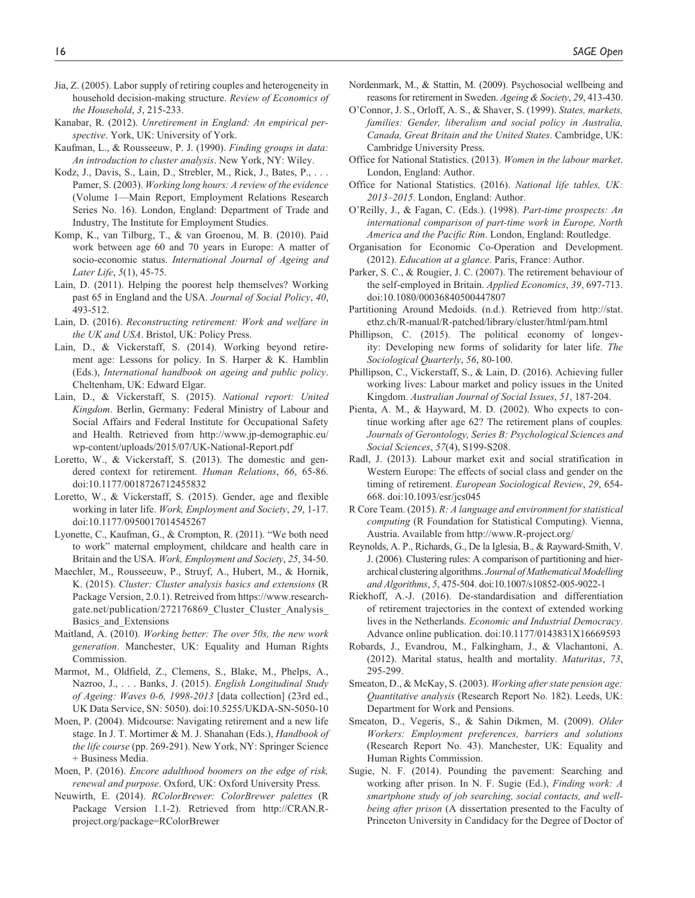- Jia, Z. (2005). Labor supply of retiring couples and heterogeneity in household decision-making structure. *Review of Economics of the Household*, *3*, 215-233.
- Kanabar, R. (2012). *Unretirement in England: An empirical perspective*. York, UK: University of York.
- Kaufman, L., & Rousseeuw, P. J. (1990). *Finding groups in data: An introduction to cluster analysis*. New York, NY: Wiley.
- Kodz, J., Davis, S., Lain, D., Strebler, M., Rick, J., Bates, P., . . . Pamer, S. (2003). *Working long hours: A review of the evidence* (Volume 1—Main Report, Employment Relations Research Series No. 16). London, England: Department of Trade and Industry, The Institute for Employment Studies.
- Komp, K., van Tilburg, T., & van Groenou, M. B. (2010). Paid work between age 60 and 70 years in Europe: A matter of socio-economic status. *International Journal of Ageing and Later Life*, *5*(1), 45-75.
- Lain, D. (2011). Helping the poorest help themselves? Working past 65 in England and the USA. *Journal of Social Policy*, *40*, 493-512.
- Lain, D. (2016). *Reconstructing retirement: Work and welfare in the UK and USA*. Bristol, UK: Policy Press.
- Lain, D., & Vickerstaff, S. (2014). Working beyond retirement age: Lessons for policy. In S. Harper & K. Hamblin (Eds.), *International handbook on ageing and public policy*. Cheltenham, UK: Edward Elgar.
- Lain, D., & Vickerstaff, S. (2015). *National report: United Kingdom*. Berlin, Germany: Federal Ministry of Labour and Social Affairs and Federal Institute for Occupational Safety and Health. Retrieved from [http://www.jp-demographic.eu/](http://www.jp-demographic.eu/wp-content/uploads/2015/07/UK-National-Report.pdf) [wp-content/uploads/2015/07/UK-National-Report.pdf](http://www.jp-demographic.eu/wp-content/uploads/2015/07/UK-National-Report.pdf)
- Loretto, W., & Vickerstaff, S. (2013). The domestic and gendered context for retirement. *Human Relations*, *66*, 65-86. doi:10.1177/0018726712455832
- Loretto, W., & Vickerstaff, S. (2015). Gender, age and flexible working in later life. *Work, Employment and Society*, *29*, 1-17. doi:10.1177/0950017014545267
- Lyonette, C., Kaufman, G., & Crompton, R. (2011). "We both need to work" maternal employment, childcare and health care in Britain and the USA. *Work, Employment and Society*, *25*, 34-50.
- Maechler, M., Rousseeuw, P., Struyf, A., Hubert, M., & Hornik, K. (2015). *Cluster: Cluster analysis basics and extensions* (R Package Version, 2.0.1). Retreived from [https://www.research](https://www.researchgate.net/publication/272176869_Cluster_Cluster_Analysis_Basics_and_Extensions)[gate.net/publication/272176869\\_Cluster\\_Cluster\\_Analysis\\_](https://www.researchgate.net/publication/272176869_Cluster_Cluster_Analysis_Basics_and_Extensions) [Basics\\_and\\_Extensions](https://www.researchgate.net/publication/272176869_Cluster_Cluster_Analysis_Basics_and_Extensions)
- Maitland, A. (2010). *Working better: The over 50s, the new work generation*. Manchester, UK: Equality and Human Rights Commission.
- Marmot, M., Oldfield, Z., Clemens, S., Blake, M., Phelps, A., Nazroo, J., . . . Banks, J. (2015). *English Longitudinal Study of Ageing: Waves 0-6, 1998-2013* [data collection] (23rd ed., UK Data Service, SN: 5050). doi:10.5255/UKDA-SN-5050-10
- Moen, P. (2004). Midcourse: Navigating retirement and a new life stage. In J. T. Mortimer & M. J. Shanahan (Eds.), *Handbook of the life course* (pp. 269-291). New York, NY: Springer Science + Business Media.
- Moen, P. (2016). *Encore adulthood boomers on the edge of risk, renewal and purpose*. Oxford, UK: Oxford University Press.
- Neuwirth, E. (2014). *RColorBrewer: ColorBrewer palettes* (R Package Version 1.1-2). Retrieved from [http://CRAN.R](http://CRAN.R-project.org/package=RColorBrewer)[project.org/package=RColorBrewer](http://CRAN.R-project.org/package=RColorBrewer)
- Nordenmark, M., & Stattin, M. (2009). Psychosocial wellbeing and reasons for retirement in Sweden. *Ageing & Society*, *29*, 413-430.
- O'Connor, J. S., Orloff, A. S., & Shaver, S. (1999). *States, markets, families: Gender, liberalism and social policy in Australia, Canada, Great Britain and the United States*. Cambridge, UK: Cambridge University Press.
- Office for National Statistics. (2013). *Women in the labour market*. London, England: Author.
- Office for National Statistics. (2016). *National life tables, UK: 2013–2015*. London, England: Author.
- O'Reilly, J., & Fagan, C. (Eds.). (1998). *Part-time prospects: An international comparison of part-time work in Europe, North America and the Pacific Rim*. London, England: Routledge.
- Organisation for Economic Co-Operation and Development. (2012). *Education at a glance*. Paris, France: Author.
- Parker, S. C., & Rougier, J. C. (2007). The retirement behaviour of the self-employed in Britain. *Applied Economics*, *39*, 697-713. doi:10.1080/00036840500447807
- Partitioning Around Medoids. (n.d.). Retrieved from [http://stat.](http://stat.ethz.ch/R-manual/R-patched/library/cluster/html/pam.html) [ethz.ch/R-manual/R-patched/library/cluster/html/pam.html](http://stat.ethz.ch/R-manual/R-patched/library/cluster/html/pam.html)
- Phillipson, C. (2015). The political economy of longevity: Developing new forms of solidarity for later life. *The Sociological Quarterly*, *56*, 80-100.
- Phillipson, C., Vickerstaff, S., & Lain, D. (2016). Achieving fuller working lives: Labour market and policy issues in the United Kingdom. *Australian Journal of Social Issues*, *51*, 187-204.
- Pienta, A. M., & Hayward, M. D. (2002). Who expects to continue working after age 62? The retirement plans of couples. *Journals of Gerontology, Series B: Psychological Sciences and Social Sciences*, *57*(4), S199-S208.
- Radl, J. (2013). Labour market exit and social stratification in Western Europe: The effects of social class and gender on the timing of retirement. *European Sociological Review*, *29*, 654- 668. doi:10.1093/esr/jcs045
- R Core Team. (2015). *R: A language and environment for statistical computing* (R Foundation for Statistical Computing). Vienna, Austria. Available from<http://www.R-project.org/>
- Reynolds, A. P., Richards, G., De la Iglesia, B., & Rayward-Smith, V. J. (2006). Clustering rules: A comparison of partitioning and hierarchical clustering algorithms. *Journal of Mathematical Modelling and Algorithms*, *5*, 475-504. doi:10.1007/s10852-005-9022-1
- Riekhoff, A.-J. (2016). De-standardisation and differentiation of retirement trajectories in the context of extended working lives in the Netherlands. *Economic and Industrial Democracy*. Advance online publication. doi:10.1177/0143831X16669593
- Robards, J., Evandrou, M., Falkingham, J., & Vlachantoni, A. (2012). Marital status, health and mortality. *Maturitas*, *73*, 295-299.
- Smeaton, D., & McKay, S. (2003). *Working after state pension age: Quantitative analysis* (Research Report No. 182). Leeds, UK: Department for Work and Pensions.
- Smeaton, D., Vegeris, S., & Sahin Dikmen, M. (2009). *Older Workers: Employment preferences, barriers and solutions* (Research Report No. 43). Manchester, UK: Equality and Human Rights Commission.
- Sugie, N. F. (2014). Pounding the pavement: Searching and working after prison. In N. F. Sugie (Ed.), *Finding work: A smartphone study of job searching, social contacts, and wellbeing after prison* (A dissertation presented to the Faculty of Princeton University in Candidacy for the Degree of Doctor of